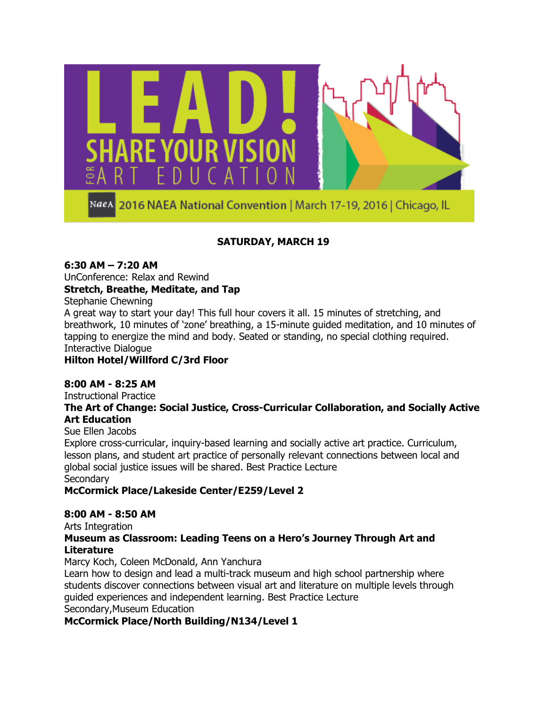

### **SATURDAY, MARCH 19**

#### **6:30 AM – 7:20 AM**

UnConference: Relax and Rewind

#### **Stretch, Breathe, Meditate, and Tap**

Stephanie Chewning

A great way to start your day! This full hour covers it all. 15 minutes of stretching, and breathwork, 10 minutes of 'zone' breathing, a 15-minute guided meditation, and 10 minutes of tapping to energize the mind and body. Seated or standing, no special clothing required. Interactive Dialogue

### **Hilton Hotel/Willford C/3rd Floor**

### **8:00 AM - 8:25 AM**

Instructional Practice

#### **The Art of Change: Social Justice, Cross-Curricular Collaboration, and Socially Active Art Education**

Sue Ellen Jacobs

Explore cross-curricular, inquiry-based learning and socially active art practice. Curriculum, lesson plans, and student art practice of personally relevant connections between local and global social justice issues will be shared. Best Practice Lecture **Secondary** 

### **McCormick Place/Lakeside Center/E259/Level 2**

#### **8:00 AM - 8:50 AM**

Arts Integration

### **Museum as Classroom: Leading Teens on a Hero's Journey Through Art and Literature**

Marcy Koch, Coleen McDonald, Ann Yanchura

Learn how to design and lead a multi-track museum and high school partnership where students discover connections between visual art and literature on multiple levels through guided experiences and independent learning. Best Practice Lecture Secondary,Museum Education

**McCormick Place/North Building/N134/Level 1**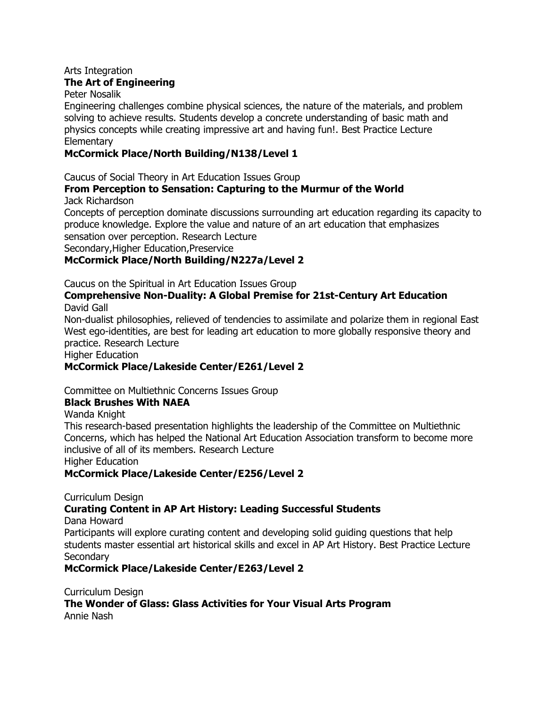#### Arts Integration **The Art of Engineering**

### Peter Nosalik

Engineering challenges combine physical sciences, the nature of the materials, and problem solving to achieve results. Students develop a concrete understanding of basic math and physics concepts while creating impressive art and having fun!. Best Practice Lecture **Elementary** 

### **McCormick Place/North Building/N138/Level 1**

Caucus of Social Theory in Art Education Issues Group

### **From Perception to Sensation: Capturing to the Murmur of the World** Jack Richardson

Concepts of perception dominate discussions surrounding art education regarding its capacity to produce knowledge. Explore the value and nature of an art education that emphasizes sensation over perception. Research Lecture

Secondary,Higher Education,Preservice

### **McCormick Place/North Building/N227a/Level 2**

Caucus on the Spiritual in Art Education Issues Group

#### **Comprehensive Non-Duality: A Global Premise for 21st-Century Art Education** David Gall

Non-dualist philosophies, relieved of tendencies to assimilate and polarize them in regional East West ego-identities, are best for leading art education to more globally responsive theory and practice. Research Lecture

Higher Education

### **McCormick Place/Lakeside Center/E261/Level 2**

Committee on Multiethnic Concerns Issues Group

### **Black Brushes With NAEA**

Wanda Knight

This research-based presentation highlights the leadership of the Committee on Multiethnic Concerns, which has helped the National Art Education Association transform to become more inclusive of all of its members. Research Lecture

Higher Education

### **McCormick Place/Lakeside Center/E256/Level 2**

Curriculum Design

### **Curating Content in AP Art History: Leading Successful Students**

Dana Howard

Participants will explore curating content and developing solid guiding questions that help students master essential art historical skills and excel in AP Art History. Best Practice Lecture **Secondary** 

### **McCormick Place/Lakeside Center/E263/Level 2**

Curriculum Design **The Wonder of Glass: Glass Activities for Your Visual Arts Program** Annie Nash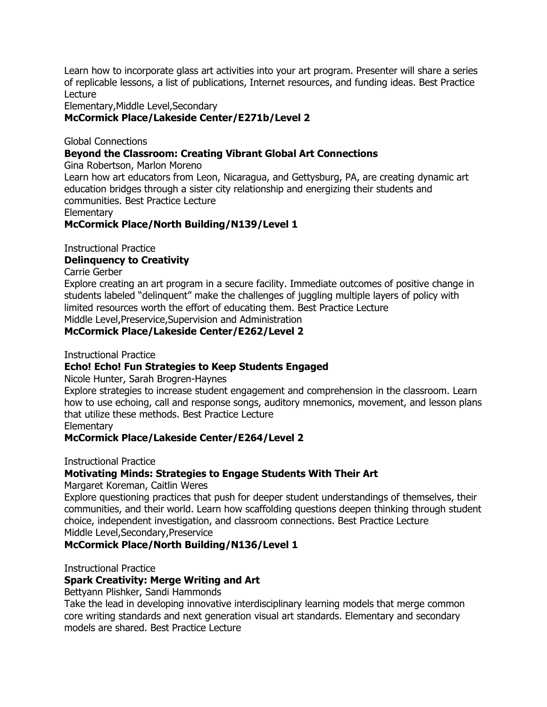Learn how to incorporate glass art activities into your art program. Presenter will share a series of replicable lessons, a list of publications, Internet resources, and funding ideas. Best Practice Lecture

Elementary,Middle Level,Secondary

### **McCormick Place/Lakeside Center/E271b/Level 2**

Global Connections

### **Beyond the Classroom: Creating Vibrant Global Art Connections**

Gina Robertson, Marlon Moreno

Learn how art educators from Leon, Nicaragua, and Gettysburg, PA, are creating dynamic art education bridges through a sister city relationship and energizing their students and communities. Best Practice Lecture

**Elementary** 

**McCormick Place/North Building/N139/Level 1**

Instructional Practice

#### **Delinquency to Creativity**

Carrie Gerber

Explore creating an art program in a secure facility. Immediate outcomes of positive change in students labeled "delinquent" make the challenges of juggling multiple layers of policy with limited resources worth the effort of educating them. Best Practice Lecture Middle Level,Preservice,Supervision and Administration

#### **McCormick Place/Lakeside Center/E262/Level 2**

Instructional Practice

#### **Echo! Echo! Fun Strategies to Keep Students Engaged**

Nicole Hunter, Sarah Brogren-Haynes

Explore strategies to increase student engagement and comprehension in the classroom. Learn how to use echoing, call and response songs, auditory mnemonics, movement, and lesson plans that utilize these methods. Best Practice Lecture

**Elementary** 

#### **McCormick Place/Lakeside Center/E264/Level 2**

Instructional Practice

#### **Motivating Minds: Strategies to Engage Students With Their Art**

Margaret Koreman, Caitlin Weres

Explore questioning practices that push for deeper student understandings of themselves, their communities, and their world. Learn how scaffolding questions deepen thinking through student choice, independent investigation, and classroom connections. Best Practice Lecture Middle Level,Secondary,Preservice

#### **McCormick Place/North Building/N136/Level 1**

Instructional Practice

#### **Spark Creativity: Merge Writing and Art**

Bettyann Plishker, Sandi Hammonds

Take the lead in developing innovative interdisciplinary learning models that merge common core writing standards and next generation visual art standards. Elementary and secondary models are shared. Best Practice Lecture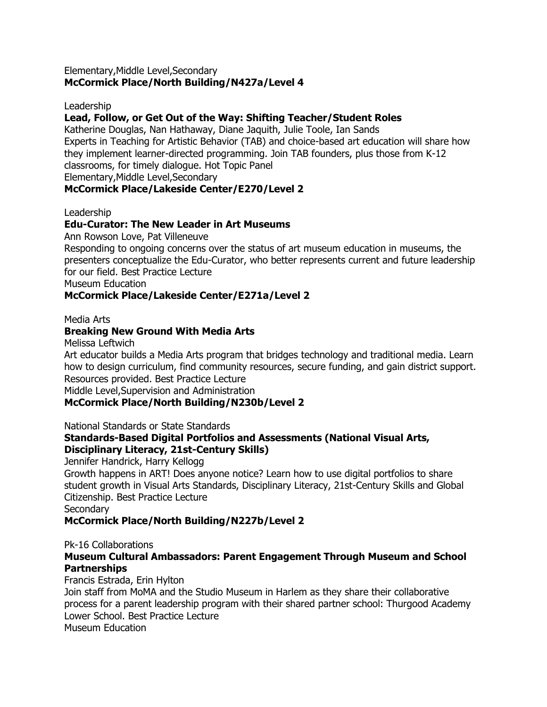#### Elementary,Middle Level,Secondary **McCormick Place/North Building/N427a/Level 4**

Leadership

#### **Lead, Follow, or Get Out of the Way: Shifting Teacher/Student Roles**

Katherine Douglas, Nan Hathaway, Diane Jaquith, Julie Toole, Ian Sands Experts in Teaching for Artistic Behavior (TAB) and choice-based art education will share how they implement learner-directed programming. Join TAB founders, plus those from K-12 classrooms, for timely dialogue. Hot Topic Panel Elementary,Middle Level,Secondary

#### **McCormick Place/Lakeside Center/E270/Level 2**

Leadership

#### **Edu-Curator: The New Leader in Art Museums**

Ann Rowson Love, Pat Villeneuve

Responding to ongoing concerns over the status of art museum education in museums, the presenters conceptualize the Edu-Curator, who better represents current and future leadership for our field. Best Practice Lecture

Museum Education

#### **McCormick Place/Lakeside Center/E271a/Level 2**

Media Arts

#### **Breaking New Ground With Media Arts**

Melissa Leftwich

Art educator builds a Media Arts program that bridges technology and traditional media. Learn how to design curriculum, find community resources, secure funding, and gain district support. Resources provided. Best Practice Lecture

Middle Level,Supervision and Administration

### **McCormick Place/North Building/N230b/Level 2**

National Standards or State Standards

#### **Standards-Based Digital Portfolios and Assessments (National Visual Arts, Disciplinary Literacy, 21st-Century Skills)**

Jennifer Handrick, Harry Kellogg

Growth happens in ART! Does anyone notice? Learn how to use digital portfolios to share student growth in Visual Arts Standards, Disciplinary Literacy, 21st-Century Skills and Global Citizenship. Best Practice Lecture

**Secondary** 

### **McCormick Place/North Building/N227b/Level 2**

#### Pk-16 Collaborations

#### **Museum Cultural Ambassadors: Parent Engagement Through Museum and School Partnerships**

Francis Estrada, Erin Hylton Join staff from MoMA and the Studio Museum in Harlem as they share their collaborative process for a parent leadership program with their shared partner school: Thurgood Academy Lower School. Best Practice Lecture Museum Education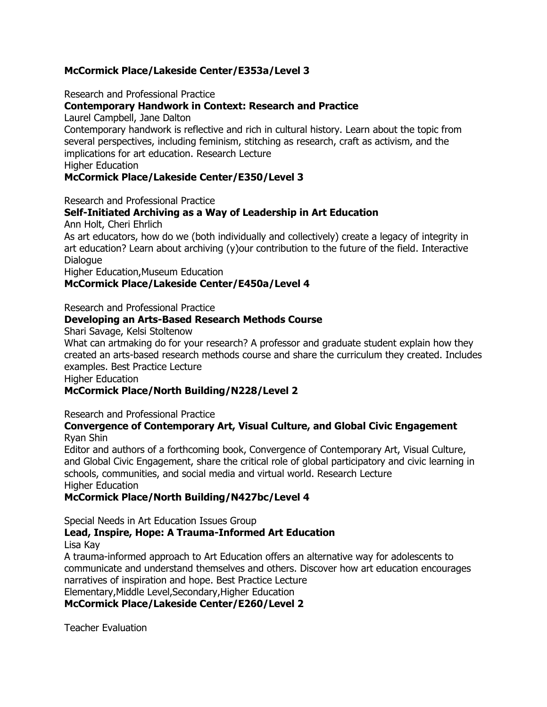### **McCormick Place/Lakeside Center/E353a/Level 3**

Research and Professional Practice

### **Contemporary Handwork in Context: Research and Practice**

Laurel Campbell, Jane Dalton

Contemporary handwork is reflective and rich in cultural history. Learn about the topic from several perspectives, including feminism, stitching as research, craft as activism, and the implications for art education. Research Lecture

Higher Education

#### **McCormick Place/Lakeside Center/E350/Level 3**

Research and Professional Practice

### **Self-Initiated Archiving as a Way of Leadership in Art Education**

Ann Holt, Cheri Ehrlich

As art educators, how do we (both individually and collectively) create a legacy of integrity in art education? Learn about archiving (y)our contribution to the future of the field. Interactive Dialogue

Higher Education,Museum Education

### **McCormick Place/Lakeside Center/E450a/Level 4**

Research and Professional Practice

### **Developing an Arts-Based Research Methods Course**

Shari Savage, Kelsi Stoltenow

What can artmaking do for your research? A professor and graduate student explain how they created an arts-based research methods course and share the curriculum they created. Includes examples. Best Practice Lecture

Higher Education

### **McCormick Place/North Building/N228/Level 2**

Research and Professional Practice

#### **Convergence of Contemporary Art, Visual Culture, and Global Civic Engagement** Ryan Shin

Editor and authors of a forthcoming book, Convergence of Contemporary Art, Visual Culture, and Global Civic Engagement, share the critical role of global participatory and civic learning in schools, communities, and social media and virtual world. Research Lecture Higher Education

### **McCormick Place/North Building/N427bc/Level 4**

Special Needs in Art Education Issues Group

### **Lead, Inspire, Hope: A Trauma-Informed Art Education**

Lisa Kay

A trauma-informed approach to Art Education offers an alternative way for adolescents to communicate and understand themselves and others. Discover how art education encourages narratives of inspiration and hope. Best Practice Lecture Elementary,Middle Level,Secondary,Higher Education

**McCormick Place/Lakeside Center/E260/Level 2**

Teacher Evaluation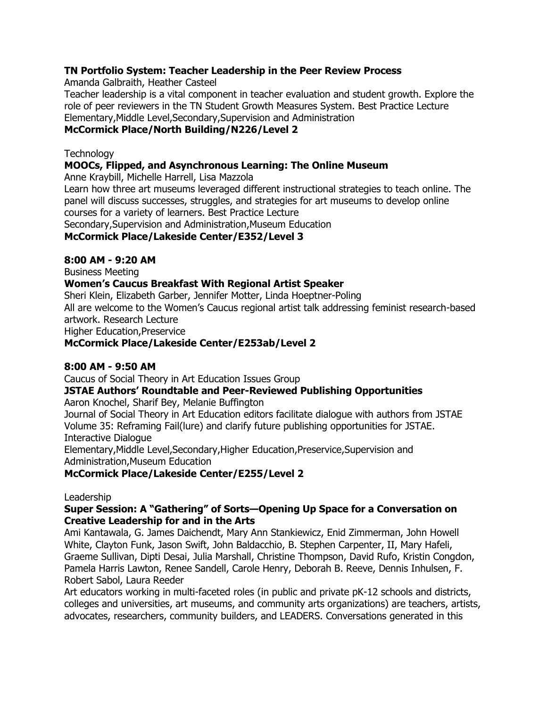### **TN Portfolio System: Teacher Leadership in the Peer Review Process**

Amanda Galbraith, Heather Casteel

Teacher leadership is a vital component in teacher evaluation and student growth. Explore the role of peer reviewers in the TN Student Growth Measures System. Best Practice Lecture Elementary,Middle Level,Secondary,Supervision and Administration

### **McCormick Place/North Building/N226/Level 2**

### **Technology**

### **MOOCs, Flipped, and Asynchronous Learning: The Online Museum**

Anne Kraybill, Michelle Harrell, Lisa Mazzola

Learn how three art museums leveraged different instructional strategies to teach online. The panel will discuss successes, struggles, and strategies for art museums to develop online courses for a variety of learners. Best Practice Lecture

Secondary,Supervision and Administration,Museum Education

**McCormick Place/Lakeside Center/E352/Level 3**

### **8:00 AM - 9:20 AM**

Business Meeting

### **Women's Caucus Breakfast With Regional Artist Speaker**

Sheri Klein, Elizabeth Garber, Jennifer Motter, Linda Hoeptner-Poling

All are welcome to the Women's Caucus regional artist talk addressing feminist research-based artwork. Research Lecture

Higher Education,Preservice

### **McCormick Place/Lakeside Center/E253ab/Level 2**

### **8:00 AM - 9:50 AM**

Caucus of Social Theory in Art Education Issues Group

### **JSTAE Authors' Roundtable and Peer-Reviewed Publishing Opportunities**

Aaron Knochel, Sharif Bey, Melanie Buffington

Journal of Social Theory in Art Education editors facilitate dialogue with authors from JSTAE Volume 35: Reframing Fail(lure) and clarify future publishing opportunities for JSTAE. Interactive Dialogue

Elementary,Middle Level,Secondary,Higher Education,Preservice,Supervision and Administration,Museum Education

### **McCormick Place/Lakeside Center/E255/Level 2**

### Leadership

#### **Super Session: A ―Gathering‖ of Sorts—Opening Up Space for a Conversation on Creative Leadership for and in the Arts**

Ami Kantawala, G. James Daichendt, Mary Ann Stankiewicz, Enid Zimmerman, John Howell White, Clayton Funk, Jason Swift, John Baldacchio, B. Stephen Carpenter, II, Mary Hafeli, Graeme Sullivan, Dipti Desai, Julia Marshall, Christine Thompson, David Rufo, Kristin Congdon, Pamela Harris Lawton, Renee Sandell, Carole Henry, Deborah B. Reeve, Dennis Inhulsen, F. Robert Sabol, Laura Reeder

Art educators working in multi-faceted roles (in public and private pK-12 schools and districts, colleges and universities, art museums, and community arts organizations) are teachers, artists, advocates, researchers, community builders, and LEADERS. Conversations generated in this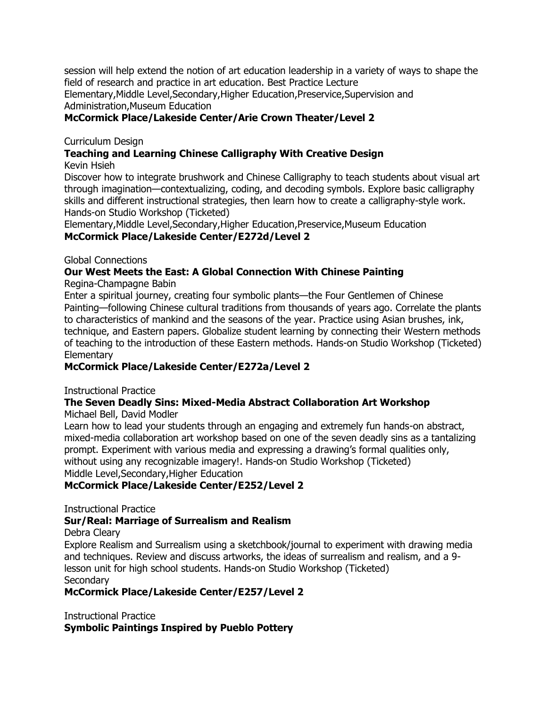session will help extend the notion of art education leadership in a variety of ways to shape the field of research and practice in art education. Best Practice Lecture Elementary,Middle Level,Secondary,Higher Education,Preservice,Supervision and Administration,Museum Education

### **McCormick Place/Lakeside Center/Arie Crown Theater/Level 2**

### Curriculum Design

## **Teaching and Learning Chinese Calligraphy With Creative Design**

Kevin Hsieh

Discover how to integrate brushwork and Chinese Calligraphy to teach students about visual art through imagination—contextualizing, coding, and decoding symbols. Explore basic calligraphy skills and different instructional strategies, then learn how to create a calligraphy-style work. Hands-on Studio Workshop (Ticketed)

Elementary,Middle Level,Secondary,Higher Education,Preservice,Museum Education **McCormick Place/Lakeside Center/E272d/Level 2**

#### Global Connections

### **Our West Meets the East: A Global Connection With Chinese Painting**

Regina-Champagne Babin

Enter a spiritual journey, creating four symbolic plants—the Four Gentlemen of Chinese Painting—following Chinese cultural traditions from thousands of years ago. Correlate the plants to characteristics of mankind and the seasons of the year. Practice using Asian brushes, ink, technique, and Eastern papers. Globalize student learning by connecting their Western methods of teaching to the introduction of these Eastern methods. Hands-on Studio Workshop (Ticketed) **Elementary** 

### **McCormick Place/Lakeside Center/E272a/Level 2**

Instructional Practice

### **The Seven Deadly Sins: Mixed-Media Abstract Collaboration Art Workshop**

Michael Bell, David Modler

Learn how to lead your students through an engaging and extremely fun hands-on abstract, mixed-media collaboration art workshop based on one of the seven deadly sins as a tantalizing prompt. Experiment with various media and expressing a drawing's formal qualities only, without using any recognizable imagery!. Hands-on Studio Workshop (Ticketed) Middle Level,Secondary,Higher Education

### **McCormick Place/Lakeside Center/E252/Level 2**

Instructional Practice

### **Sur/Real: Marriage of Surrealism and Realism**

Debra Cleary

Explore Realism and Surrealism using a sketchbook/journal to experiment with drawing media and techniques. Review and discuss artworks, the ideas of surrealism and realism, and a 9 lesson unit for high school students. Hands-on Studio Workshop (Ticketed) **Secondary** 

### **McCormick Place/Lakeside Center/E257/Level 2**

Instructional Practice **Symbolic Paintings Inspired by Pueblo Pottery**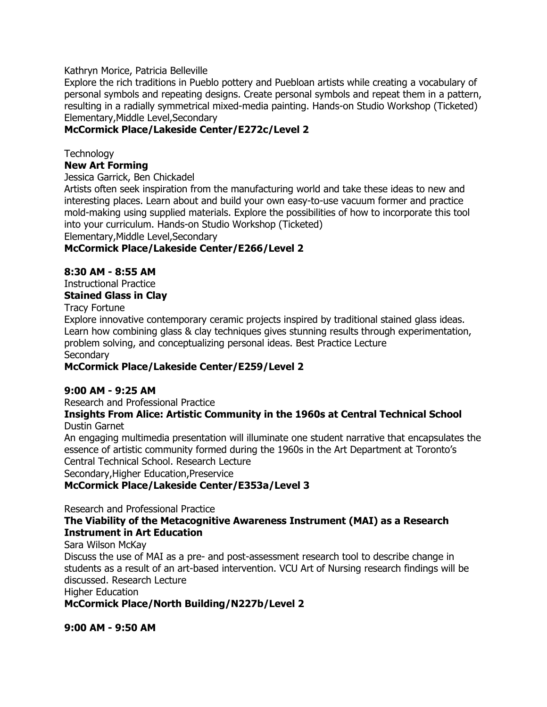Kathryn Morice, Patricia Belleville

Explore the rich traditions in Pueblo pottery and Puebloan artists while creating a vocabulary of personal symbols and repeating designs. Create personal symbols and repeat them in a pattern, resulting in a radially symmetrical mixed-media painting. Hands-on Studio Workshop (Ticketed) Elementary,Middle Level,Secondary

### **McCormick Place/Lakeside Center/E272c/Level 2**

**Technology New Art Forming**

Jessica Garrick, Ben Chickadel

Artists often seek inspiration from the manufacturing world and take these ideas to new and interesting places. Learn about and build your own easy-to-use vacuum former and practice mold-making using supplied materials. Explore the possibilities of how to incorporate this tool into your curriculum. Hands-on Studio Workshop (Ticketed) Elementary,Middle Level,Secondary

### **McCormick Place/Lakeside Center/E266/Level 2**

### **8:30 AM - 8:55 AM**

Instructional Practice **Stained Glass in Clay**

Tracy Fortune

Explore innovative contemporary ceramic projects inspired by traditional stained glass ideas. Learn how combining glass & clay techniques gives stunning results through experimentation, problem solving, and conceptualizing personal ideas. Best Practice Lecture **Secondary** 

### **McCormick Place/Lakeside Center/E259/Level 2**

### **9:00 AM - 9:25 AM**

Research and Professional Practice

#### **Insights From Alice: Artistic Community in the 1960s at Central Technical School** Dustin Garnet

An engaging multimedia presentation will illuminate one student narrative that encapsulates the essence of artistic community formed during the 1960s in the Art Department at Toronto's Central Technical School. Research Lecture

Secondary,Higher Education,Preservice

### **McCormick Place/Lakeside Center/E353a/Level 3**

Research and Professional Practice

#### **The Viability of the Metacognitive Awareness Instrument (MAI) as a Research Instrument in Art Education**

Sara Wilson McKay

Discuss the use of MAI as a pre- and post-assessment research tool to describe change in students as a result of an art-based intervention. VCU Art of Nursing research findings will be discussed. Research Lecture

Higher Education

**McCormick Place/North Building/N227b/Level 2**

**9:00 AM - 9:50 AM**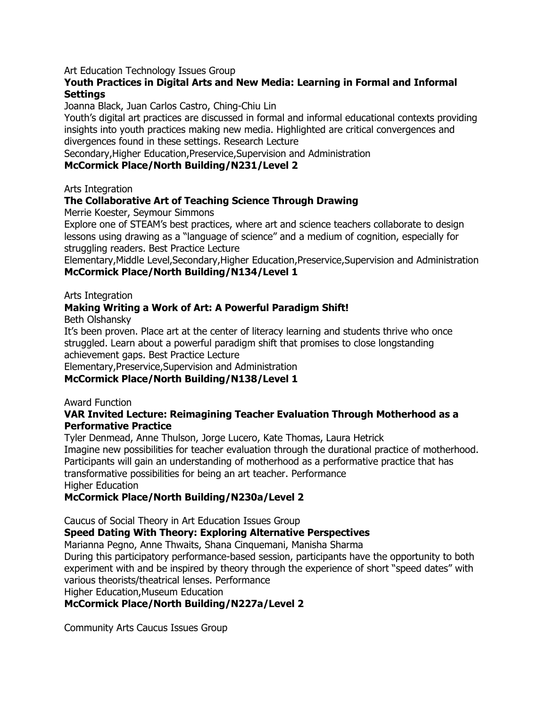Art Education Technology Issues Group

#### **Youth Practices in Digital Arts and New Media: Learning in Formal and Informal Settings**

Joanna Black, Juan Carlos Castro, Ching-Chiu Lin

Youth's digital art practices are discussed in formal and informal educational contexts providing insights into youth practices making new media. Highlighted are critical convergences and divergences found in these settings. Research Lecture

Secondary,Higher Education,Preservice,Supervision and Administration

#### **McCormick Place/North Building/N231/Level 2**

Arts Integration

### **The Collaborative Art of Teaching Science Through Drawing**

Merrie Koester, Seymour Simmons

Explore one of STEAM's best practices, where art and science teachers collaborate to design lessons using drawing as a "language of science" and a medium of cognition, especially for struggling readers. Best Practice Lecture

Elementary,Middle Level,Secondary,Higher Education,Preservice,Supervision and Administration **McCormick Place/North Building/N134/Level 1**

#### Arts Integration

### **Making Writing a Work of Art: A Powerful Paradigm Shift!**

Beth Olshansky

It's been proven. Place art at the center of literacy learning and students thrive who once struggled. Learn about a powerful paradigm shift that promises to close longstanding achievement gaps. Best Practice Lecture

Elementary,Preservice,Supervision and Administration

### **McCormick Place/North Building/N138/Level 1**

Award Function

#### **VAR Invited Lecture: Reimagining Teacher Evaluation Through Motherhood as a Performative Practice**

Tyler Denmead, Anne Thulson, Jorge Lucero, Kate Thomas, Laura Hetrick Imagine new possibilities for teacher evaluation through the durational practice of motherhood. Participants will gain an understanding of motherhood as a performative practice that has transformative possibilities for being an art teacher. Performance Higher Education

#### **McCormick Place/North Building/N230a/Level 2**

Caucus of Social Theory in Art Education Issues Group

### **Speed Dating With Theory: Exploring Alternative Perspectives**

Marianna Pegno, Anne Thwaits, Shana Cinquemani, Manisha Sharma

During this participatory performance-based session, participants have the opportunity to both experiment with and be inspired by theory through the experience of short "speed dates" with various theorists/theatrical lenses. Performance

Higher Education,Museum Education

### **McCormick Place/North Building/N227a/Level 2**

Community Arts Caucus Issues Group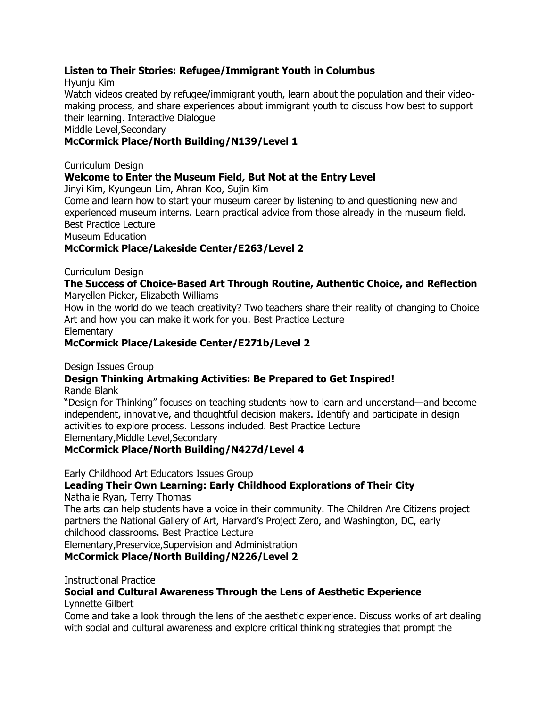### **Listen to Their Stories: Refugee/Immigrant Youth in Columbus**

Hyunju Kim

Watch videos created by refugee/immigrant youth, learn about the population and their videomaking process, and share experiences about immigrant youth to discuss how best to support their learning. Interactive Dialogue

Middle Level,Secondary

### **McCormick Place/North Building/N139/Level 1**

### Curriculum Design

### **Welcome to Enter the Museum Field, But Not at the Entry Level**

Jinyi Kim, Kyungeun Lim, Ahran Koo, Sujin Kim

Come and learn how to start your museum career by listening to and questioning new and experienced museum interns. Learn practical advice from those already in the museum field. Best Practice Lecture

Museum Education

### **McCormick Place/Lakeside Center/E263/Level 2**

Curriculum Design

#### **The Success of Choice-Based Art Through Routine, Authentic Choice, and Reflection** Maryellen Picker, Elizabeth Williams

How in the world do we teach creativity? Two teachers share their reality of changing to Choice Art and how you can make it work for you. Best Practice Lecture

**Elementary** 

### **McCormick Place/Lakeside Center/E271b/Level 2**

Design Issues Group

## **Design Thinking Artmaking Activities: Be Prepared to Get Inspired!**

Rande Blank

―Design for Thinking‖ focuses on teaching students how to learn and understand—and become independent, innovative, and thoughtful decision makers. Identify and participate in design activities to explore process. Lessons included. Best Practice Lecture Elementary,Middle Level,Secondary

### **McCormick Place/North Building/N427d/Level 4**

Early Childhood Art Educators Issues Group

## **Leading Their Own Learning: Early Childhood Explorations of Their City**

Nathalie Ryan, Terry Thomas

The arts can help students have a voice in their community. The Children Are Citizens project partners the National Gallery of Art, Harvard's Project Zero, and Washington, DC, early childhood classrooms. Best Practice Lecture

Elementary,Preservice,Supervision and Administration

**McCormick Place/North Building/N226/Level 2**

Instructional Practice

## **Social and Cultural Awareness Through the Lens of Aesthetic Experience**

Lynnette Gilbert

Come and take a look through the lens of the aesthetic experience. Discuss works of art dealing with social and cultural awareness and explore critical thinking strategies that prompt the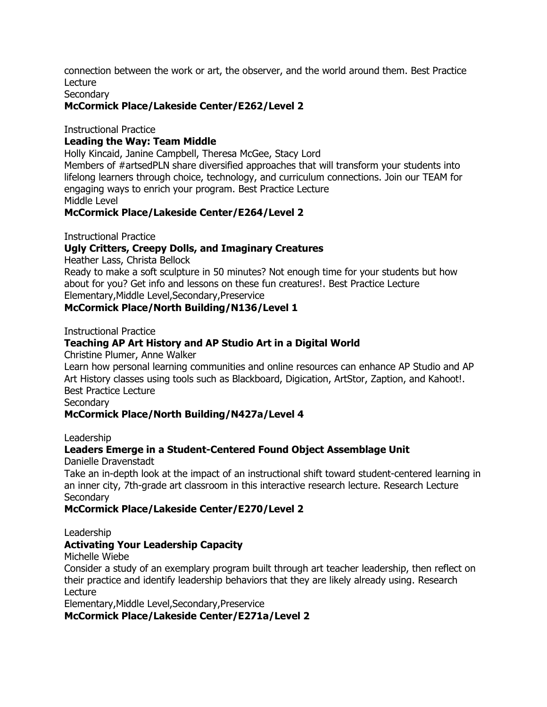connection between the work or art, the observer, and the world around them. Best Practice Lecture

**Secondary** 

### **McCormick Place/Lakeside Center/E262/Level 2**

Instructional Practice

#### **Leading the Way: Team Middle**

Holly Kincaid, Janine Campbell, Theresa McGee, Stacy Lord Members of #artsedPLN share diversified approaches that will transform your students into lifelong learners through choice, technology, and curriculum connections. Join our TEAM for engaging ways to enrich your program. Best Practice Lecture Middle Level

#### **McCormick Place/Lakeside Center/E264/Level 2**

Instructional Practice

#### **Ugly Critters, Creepy Dolls, and Imaginary Creatures**

Heather Lass, Christa Bellock

Ready to make a soft sculpture in 50 minutes? Not enough time for your students but how about for you? Get info and lessons on these fun creatures!. Best Practice Lecture Elementary,Middle Level,Secondary,Preservice

#### **McCormick Place/North Building/N136/Level 1**

Instructional Practice

#### **Teaching AP Art History and AP Studio Art in a Digital World**

Christine Plumer, Anne Walker

Learn how personal learning communities and online resources can enhance AP Studio and AP Art History classes using tools such as Blackboard, Digication, ArtStor, Zaption, and Kahoot!. Best Practice Lecture

**Secondary** 

#### **McCormick Place/North Building/N427a/Level 4**

Leadership

#### **Leaders Emerge in a Student-Centered Found Object Assemblage Unit**

Danielle Dravenstadt

Take an in-depth look at the impact of an instructional shift toward student-centered learning in an inner city, 7th-grade art classroom in this interactive research lecture. Research Lecture **Secondary** 

#### **McCormick Place/Lakeside Center/E270/Level 2**

Leadership

### **Activating Your Leadership Capacity**

Michelle Wiebe

Consider a study of an exemplary program built through art teacher leadership, then reflect on their practice and identify leadership behaviors that they are likely already using. Research Lecture

Elementary,Middle Level,Secondary,Preservice

**McCormick Place/Lakeside Center/E271a/Level 2**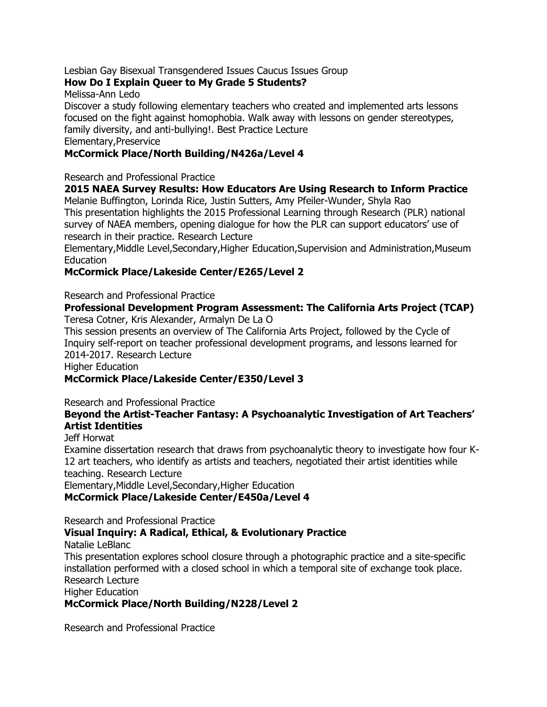### Lesbian Gay Bisexual Transgendered Issues Caucus Issues Group

### **How Do I Explain Queer to My Grade 5 Students?**

Melissa-Ann Ledo

Discover a study following elementary teachers who created and implemented arts lessons focused on the fight against homophobia. Walk away with lessons on gender stereotypes, family diversity, and anti-bullying!. Best Practice Lecture

Elementary,Preservice

### **McCormick Place/North Building/N426a/Level 4**

Research and Professional Practice

## **2015 NAEA Survey Results: How Educators Are Using Research to Inform Practice**

Melanie Buffington, Lorinda Rice, Justin Sutters, Amy Pfeiler-Wunder, Shyla Rao This presentation highlights the 2015 Professional Learning through Research (PLR) national survey of NAEA members, opening dialogue for how the PLR can support educators' use of research in their practice. Research Lecture

Elementary,Middle Level,Secondary,Higher Education,Supervision and Administration,Museum Education

### **McCormick Place/Lakeside Center/E265/Level 2**

#### Research and Professional Practice

#### **Professional Development Program Assessment: The California Arts Project (TCAP)** Teresa Cotner, Kris Alexander, Armalyn De La O

This session presents an overview of The California Arts Project, followed by the Cycle of Inquiry self-report on teacher professional development programs, and lessons learned for 2014-2017. Research Lecture

Higher Education

### **McCormick Place/Lakeside Center/E350/Level 3**

Research and Professional Practice

### **Beyond the Artist-Teacher Fantasy: A Psychoanalytic Investigation of Art Teachers' Artist Identities**

#### Jeff Horwat

Examine dissertation research that draws from psychoanalytic theory to investigate how four K-12 art teachers, who identify as artists and teachers, negotiated their artist identities while teaching. Research Lecture

Elementary,Middle Level,Secondary,Higher Education

**McCormick Place/Lakeside Center/E450a/Level 4**

Research and Professional Practice

### **Visual Inquiry: A Radical, Ethical, & Evolutionary Practice**

Natalie LeBlanc

This presentation explores school closure through a photographic practice and a site-specific installation performed with a closed school in which a temporal site of exchange took place. Research Lecture

Higher Education

**McCormick Place/North Building/N228/Level 2**

Research and Professional Practice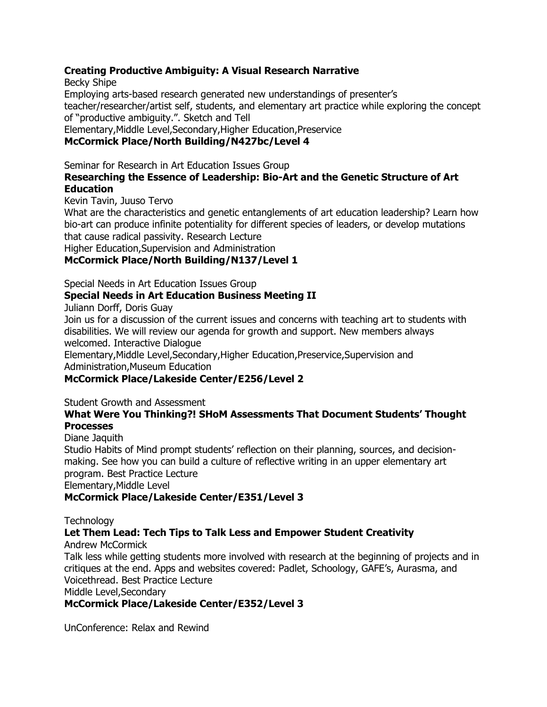### **Creating Productive Ambiguity: A Visual Research Narrative**

Becky Shipe

Employing arts-based research generated new understandings of presenter's teacher/researcher/artist self, students, and elementary art practice while exploring the concept of "productive ambiguity.". Sketch and Tell

Elementary,Middle Level,Secondary,Higher Education,Preservice

### **McCormick Place/North Building/N427bc/Level 4**

Seminar for Research in Art Education Issues Group

### **Researching the Essence of Leadership: Bio-Art and the Genetic Structure of Art Education**

Kevin Tavin, Juuso Tervo

What are the characteristics and genetic entanglements of art education leadership? Learn how bio-art can produce infinite potentiality for different species of leaders, or develop mutations that cause radical passivity. Research Lecture

Higher Education,Supervision and Administration

### **McCormick Place/North Building/N137/Level 1**

Special Needs in Art Education Issues Group

### **Special Needs in Art Education Business Meeting II**

Juliann Dorff, Doris Guay

Join us for a discussion of the current issues and concerns with teaching art to students with disabilities. We will review our agenda for growth and support. New members always welcomed. Interactive Dialogue

Elementary,Middle Level,Secondary,Higher Education,Preservice,Supervision and Administration,Museum Education

### **McCormick Place/Lakeside Center/E256/Level 2**

Student Growth and Assessment

### **What Were You Thinking?! SHoM Assessments That Document Students' Thought Processes**

### Diane Jaquith

Studio Habits of Mind prompt students' reflection on their planning, sources, and decisionmaking. See how you can build a culture of reflective writing in an upper elementary art program. Best Practice Lecture Elementary,Middle Level

### **McCormick Place/Lakeside Center/E351/Level 3**

**Technology** 

## **Let Them Lead: Tech Tips to Talk Less and Empower Student Creativity**

Andrew McCormick

Talk less while getting students more involved with research at the beginning of projects and in critiques at the end. Apps and websites covered: Padlet, Schoology, GAFE's, Aurasma, and Voicethread. Best Practice Lecture

Middle Level,Secondary

### **McCormick Place/Lakeside Center/E352/Level 3**

UnConference: Relax and Rewind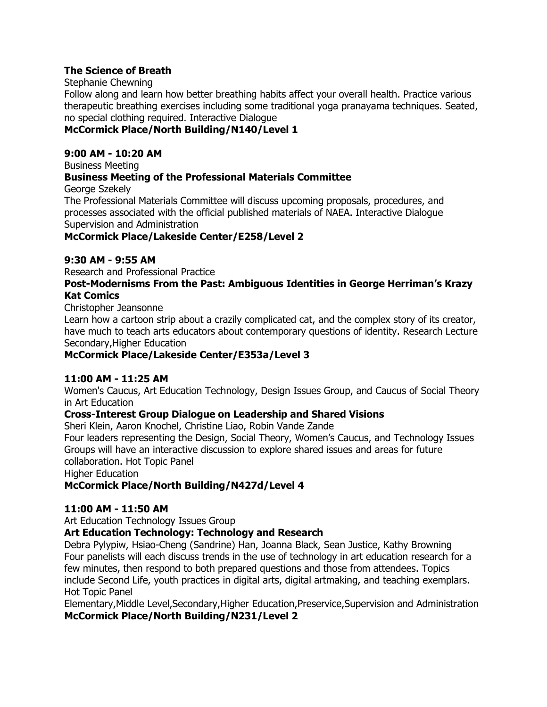### **The Science of Breath**

#### Stephanie Chewning

Follow along and learn how better breathing habits affect your overall health. Practice various therapeutic breathing exercises including some traditional yoga pranayama techniques. Seated, no special clothing required. Interactive Dialogue

### **McCormick Place/North Building/N140/Level 1**

### **9:00 AM - 10:20 AM**

Business Meeting

### **Business Meeting of the Professional Materials Committee**

George Szekely

The Professional Materials Committee will discuss upcoming proposals, procedures, and processes associated with the official published materials of NAEA. Interactive Dialogue Supervision and Administration

**McCormick Place/Lakeside Center/E258/Level 2**

### **9:30 AM - 9:55 AM**

Research and Professional Practice

#### **Post-Modernisms From the Past: Ambiguous Identities in George Herriman's Krazy Kat Comics**

Christopher Jeansonne

Learn how a cartoon strip about a crazily complicated cat, and the complex story of its creator, have much to teach arts educators about contemporary questions of identity. Research Lecture Secondary,Higher Education

### **McCormick Place/Lakeside Center/E353a/Level 3**

### **11:00 AM - 11:25 AM**

Women's Caucus, Art Education Technology, Design Issues Group, and Caucus of Social Theory in Art Education

### **Cross-Interest Group Dialogue on Leadership and Shared Visions**

Sheri Klein, Aaron Knochel, Christine Liao, Robin Vande Zande

Four leaders representing the Design, Social Theory, Women's Caucus, and Technology Issues Groups will have an interactive discussion to explore shared issues and areas for future collaboration. Hot Topic Panel

Higher Education

### **McCormick Place/North Building/N427d/Level 4**

### **11:00 AM - 11:50 AM**

Art Education Technology Issues Group

### **Art Education Technology: Technology and Research**

Debra Pylypiw, Hsiao-Cheng (Sandrine) Han, Joanna Black, Sean Justice, Kathy Browning Four panelists will each discuss trends in the use of technology in art education research for a few minutes, then respond to both prepared questions and those from attendees. Topics include Second Life, youth practices in digital arts, digital artmaking, and teaching exemplars. Hot Topic Panel

Elementary,Middle Level,Secondary,Higher Education,Preservice,Supervision and Administration **McCormick Place/North Building/N231/Level 2**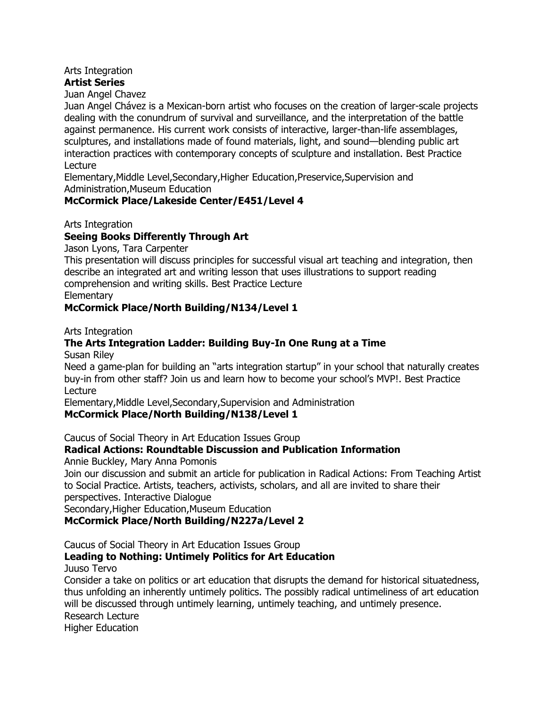#### Arts Integration **Artist Series**

### Juan Angel Chavez

Juan Angel Chávez is a Mexican-born artist who focuses on the creation of larger-scale projects dealing with the conundrum of survival and surveillance, and the interpretation of the battle against permanence. His current work consists of interactive, larger-than-life assemblages, sculptures, and installations made of found materials, light, and sound—blending public art interaction practices with contemporary concepts of sculpture and installation. Best Practice Lecture

Elementary,Middle Level,Secondary,Higher Education,Preservice,Supervision and Administration,Museum Education

### **McCormick Place/Lakeside Center/E451/Level 4**

Arts Integration

#### **Seeing Books Differently Through Art**

Jason Lyons, Tara Carpenter

This presentation will discuss principles for successful visual art teaching and integration, then describe an integrated art and writing lesson that uses illustrations to support reading comprehension and writing skills. Best Practice Lecture

**Elementary** 

#### **McCormick Place/North Building/N134/Level 1**

Arts Integration

## **The Arts Integration Ladder: Building Buy-In One Rung at a Time**

Susan Riley

Need a game-plan for building an "arts integration startup" in your school that naturally creates buy-in from other staff? Join us and learn how to become your school's MVP!. Best Practice Lecture

Elementary,Middle Level,Secondary,Supervision and Administration

### **McCormick Place/North Building/N138/Level 1**

Caucus of Social Theory in Art Education Issues Group

### **Radical Actions: Roundtable Discussion and Publication Information**

Annie Buckley, Mary Anna Pomonis

Join our discussion and submit an article for publication in Radical Actions: From Teaching Artist to Social Practice. Artists, teachers, activists, scholars, and all are invited to share their perspectives. Interactive Dialogue

Secondary,Higher Education,Museum Education

### **McCormick Place/North Building/N227a/Level 2**

Caucus of Social Theory in Art Education Issues Group

# **Leading to Nothing: Untimely Politics for Art Education**

Juuso Tervo

Consider a take on politics or art education that disrupts the demand for historical situatedness, thus unfolding an inherently untimely politics. The possibly radical untimeliness of art education will be discussed through untimely learning, untimely teaching, and untimely presence. Research Lecture

Higher Education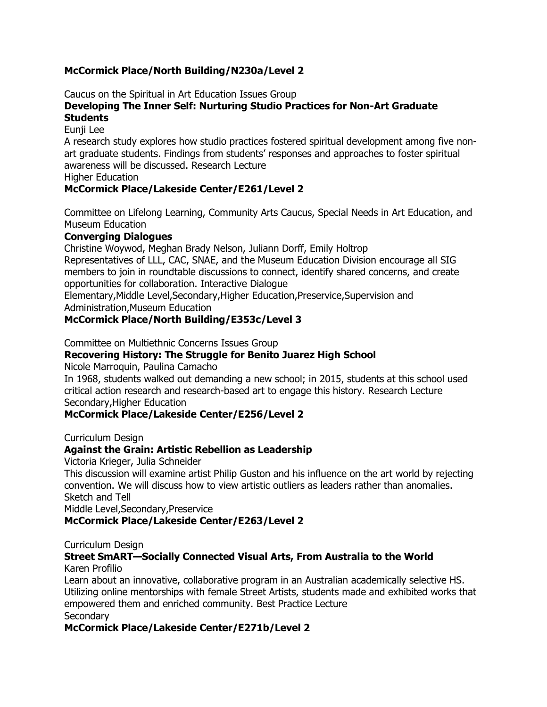### **McCormick Place/North Building/N230a/Level 2**

Caucus on the Spiritual in Art Education Issues Group

#### **Developing The Inner Self: Nurturing Studio Practices for Non-Art Graduate Students**

### Eunji Lee

A research study explores how studio practices fostered spiritual development among five nonart graduate students. Findings from students' responses and approaches to foster spiritual awareness will be discussed. Research Lecture

Higher Education

### **McCormick Place/Lakeside Center/E261/Level 2**

Committee on Lifelong Learning, Community Arts Caucus, Special Needs in Art Education, and Museum Education

#### **Converging Dialogues**

Christine Woywod, Meghan Brady Nelson, Juliann Dorff, Emily Holtrop

Representatives of LLL, CAC, SNAE, and the Museum Education Division encourage all SIG members to join in roundtable discussions to connect, identify shared concerns, and create opportunities for collaboration. Interactive Dialogue

Elementary,Middle Level,Secondary,Higher Education,Preservice,Supervision and Administration,Museum Education

### **McCormick Place/North Building/E353c/Level 3**

Committee on Multiethnic Concerns Issues Group

### **Recovering History: The Struggle for Benito Juarez High School**

Nicole Marroquin, Paulina Camacho

In 1968, students walked out demanding a new school; in 2015, students at this school used critical action research and research-based art to engage this history. Research Lecture Secondary,Higher Education

### **McCormick Place/Lakeside Center/E256/Level 2**

Curriculum Design

### **Against the Grain: Artistic Rebellion as Leadership**

Victoria Krieger, Julia Schneider

This discussion will examine artist Philip Guston and his influence on the art world by rejecting convention. We will discuss how to view artistic outliers as leaders rather than anomalies. Sketch and Tell

Middle Level,Secondary,Preservice

### **McCormick Place/Lakeside Center/E263/Level 2**

Curriculum Design

#### **Street SmART—Socially Connected Visual Arts, From Australia to the World** Karen Profilio

Learn about an innovative, collaborative program in an Australian academically selective HS. Utilizing online mentorships with female Street Artists, students made and exhibited works that empowered them and enriched community. Best Practice Lecture **Secondary** 

### **McCormick Place/Lakeside Center/E271b/Level 2**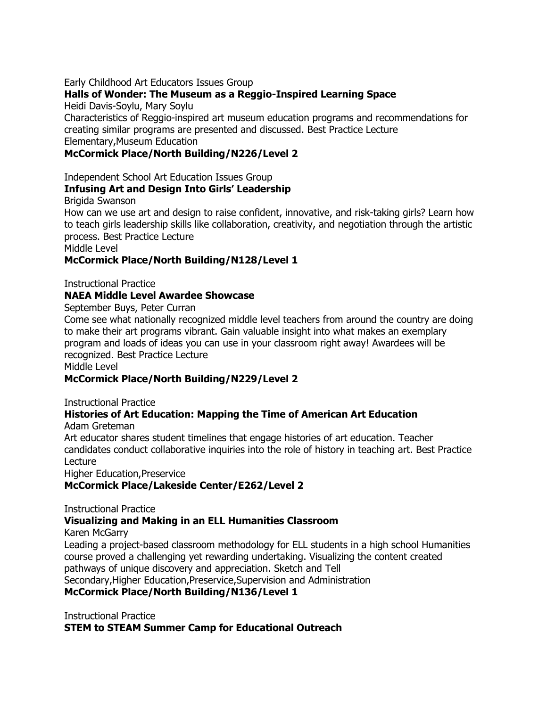Early Childhood Art Educators Issues Group

### **Halls of Wonder: The Museum as a Reggio-Inspired Learning Space**

Heidi Davis-Soylu, Mary Soylu

Characteristics of Reggio-inspired art museum education programs and recommendations for creating similar programs are presented and discussed. Best Practice Lecture Elementary,Museum Education

### **McCormick Place/North Building/N226/Level 2**

Independent School Art Education Issues Group

### **Infusing Art and Design Into Girls' Leadership**

Brigida Swanson

How can we use art and design to raise confident, innovative, and risk-taking girls? Learn how to teach girls leadership skills like collaboration, creativity, and negotiation through the artistic process. Best Practice Lecture

Middle Level

### **McCormick Place/North Building/N128/Level 1**

Instructional Practice

### **NAEA Middle Level Awardee Showcase**

September Buys, Peter Curran

Come see what nationally recognized middle level teachers from around the country are doing to make their art programs vibrant. Gain valuable insight into what makes an exemplary program and loads of ideas you can use in your classroom right away! Awardees will be recognized. Best Practice Lecture

Middle Level

### **McCormick Place/North Building/N229/Level 2**

Instructional Practice

## **Histories of Art Education: Mapping the Time of American Art Education**

Adam Greteman

Art educator shares student timelines that engage histories of art education. Teacher candidates conduct collaborative inquiries into the role of history in teaching art. Best Practice Lecture

Higher Education,Preservice

### **McCormick Place/Lakeside Center/E262/Level 2**

Instructional Practice

### **Visualizing and Making in an ELL Humanities Classroom**

Karen McGarry

Leading a project-based classroom methodology for ELL students in a high school Humanities course proved a challenging yet rewarding undertaking. Visualizing the content created pathways of unique discovery and appreciation. Sketch and Tell Secondary,Higher Education,Preservice,Supervision and Administration

**McCormick Place/North Building/N136/Level 1**

Instructional Practice **STEM to STEAM Summer Camp for Educational Outreach**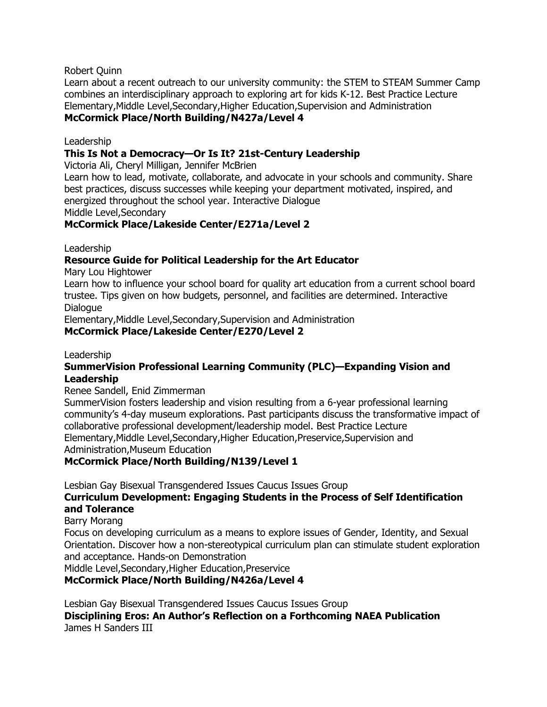Robert Quinn

Learn about a recent outreach to our university community: the STEM to STEAM Summer Camp combines an interdisciplinary approach to exploring art for kids K-12. Best Practice Lecture Elementary,Middle Level,Secondary,Higher Education,Supervision and Administration **McCormick Place/North Building/N427a/Level 4**

Leadership

### **This Is Not a Democracy—Or Is It? 21st-Century Leadership**

Victoria Ali, Cheryl Milligan, Jennifer McBrien

Learn how to lead, motivate, collaborate, and advocate in your schools and community. Share best practices, discuss successes while keeping your department motivated, inspired, and energized throughout the school year. Interactive Dialogue Middle Level,Secondary

### **McCormick Place/Lakeside Center/E271a/Level 2**

Leadership

### **Resource Guide for Political Leadership for the Art Educator**

Mary Lou Hightower

Learn how to influence your school board for quality art education from a current school board trustee. Tips given on how budgets, personnel, and facilities are determined. Interactive Dialogue

Elementary,Middle Level,Secondary,Supervision and Administration

### **McCormick Place/Lakeside Center/E270/Level 2**

### Leadership

### **SummerVision Professional Learning Community (PLC)—Expanding Vision and Leadership**

#### Renee Sandell, Enid Zimmerman

SummerVision fosters leadership and vision resulting from a 6-year professional learning community's 4-day museum explorations. Past participants discuss the transformative impact of collaborative professional development/leadership model. Best Practice Lecture Elementary,Middle Level,Secondary,Higher Education,Preservice,Supervision and Administration,Museum Education

### **McCormick Place/North Building/N139/Level 1**

Lesbian Gay Bisexual Transgendered Issues Caucus Issues Group

### **Curriculum Development: Engaging Students in the Process of Self Identification and Tolerance**

#### Barry Morang

Focus on developing curriculum as a means to explore issues of Gender, Identity, and Sexual Orientation. Discover how a non-stereotypical curriculum plan can stimulate student exploration and acceptance. Hands-on Demonstration

Middle Level,Secondary,Higher Education,Preservice

### **McCormick Place/North Building/N426a/Level 4**

Lesbian Gay Bisexual Transgendered Issues Caucus Issues Group **Disciplining Eros: An Author's Reflection on a Forthcoming NAEA Publication** James H Sanders III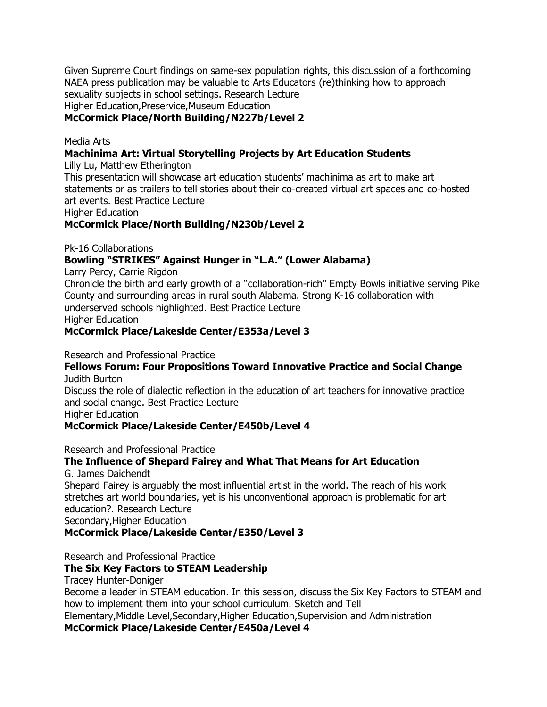Given Supreme Court findings on same-sex population rights, this discussion of a forthcoming NAEA press publication may be valuable to Arts Educators (re)thinking how to approach sexuality subjects in school settings. Research Lecture

Higher Education,Preservice,Museum Education

### **McCormick Place/North Building/N227b/Level 2**

#### Media Arts

### **Machinima Art: Virtual Storytelling Projects by Art Education Students**

Lilly Lu, Matthew Etherington

This presentation will showcase art education students' machinima as art to make art statements or as trailers to tell stories about their co-created virtual art spaces and co-hosted art events. Best Practice Lecture

Higher Education

### **McCormick Place/North Building/N230b/Level 2**

Pk-16 Collaborations

### Bowling "STRIKES" Against Hunger in "L.A." (Lower Alabama)

Larry Percy, Carrie Rigdon

Chronicle the birth and early growth of a "collaboration-rich" Empty Bowls initiative serving Pike County and surrounding areas in rural south Alabama. Strong K-16 collaboration with underserved schools highlighted. Best Practice Lecture Higher Education

## **McCormick Place/Lakeside Center/E353a/Level 3**

#### Research and Professional Practice

#### **Fellows Forum: Four Propositions Toward Innovative Practice and Social Change** Judith Burton

Discuss the role of dialectic reflection in the education of art teachers for innovative practice and social change. Best Practice Lecture

Higher Education

### **McCormick Place/Lakeside Center/E450b/Level 4**

Research and Professional Practice

### **The Influence of Shepard Fairey and What That Means for Art Education**

G. James Daichendt

Shepard Fairey is arguably the most influential artist in the world. The reach of his work stretches art world boundaries, yet is his unconventional approach is problematic for art education?. Research Lecture Secondary,Higher Education

**McCormick Place/Lakeside Center/E350/Level 3**

Research and Professional Practice

### **The Six Key Factors to STEAM Leadership**

Tracey Hunter-Doniger

Become a leader in STEAM education. In this session, discuss the Six Key Factors to STEAM and how to implement them into your school curriculum. Sketch and Tell

Elementary,Middle Level,Secondary,Higher Education,Supervision and Administration

### **McCormick Place/Lakeside Center/E450a/Level 4**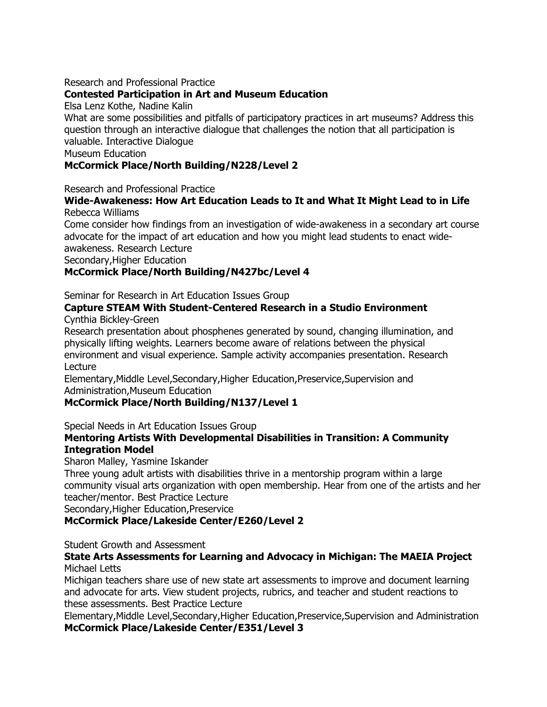### Research and Professional Practice

### **Contested Participation in Art and Museum Education**

Elsa Lenz Kothe, Nadine Kalin

What are some possibilities and pitfalls of participatory practices in art museums? Address this question through an interactive dialogue that challenges the notion that all participation is valuable. Interactive Dialogue

Museum Education

### **McCormick Place/North Building/N228/Level 2**

Research and Professional Practice

### **Wide-Awakeness: How Art Education Leads to It and What It Might Lead to in Life** Rebecca Williams

Come consider how findings from an investigation of wide-awakeness in a secondary art course advocate for the impact of art education and how you might lead students to enact wideawakeness. Research Lecture

Secondary,Higher Education

### **McCormick Place/North Building/N427bc/Level 4**

Seminar for Research in Art Education Issues Group

#### **Capture STEAM With Student-Centered Research in a Studio Environment** Cynthia Bickley-Green

Research presentation about phosphenes generated by sound, changing illumination, and physically lifting weights. Learners become aware of relations between the physical environment and visual experience. Sample activity accompanies presentation. Research Lecture

Elementary,Middle Level,Secondary,Higher Education,Preservice,Supervision and Administration,Museum Education

### **McCormick Place/North Building/N137/Level 1**

Special Needs in Art Education Issues Group

### **Mentoring Artists With Developmental Disabilities in Transition: A Community Integration Model**

Sharon Malley, Yasmine Iskander

Three young adult artists with disabilities thrive in a mentorship program within a large community visual arts organization with open membership. Hear from one of the artists and her teacher/mentor. Best Practice Lecture

Secondary,Higher Education,Preservice

### **McCormick Place/Lakeside Center/E260/Level 2**

Student Growth and Assessment

#### **State Arts Assessments for Learning and Advocacy in Michigan: The MAEIA Project** Michael Letts

Michigan teachers share use of new state art assessments to improve and document learning and advocate for arts. View student projects, rubrics, and teacher and student reactions to these assessments. Best Practice Lecture

Elementary,Middle Level,Secondary,Higher Education,Preservice,Supervision and Administration **McCormick Place/Lakeside Center/E351/Level 3**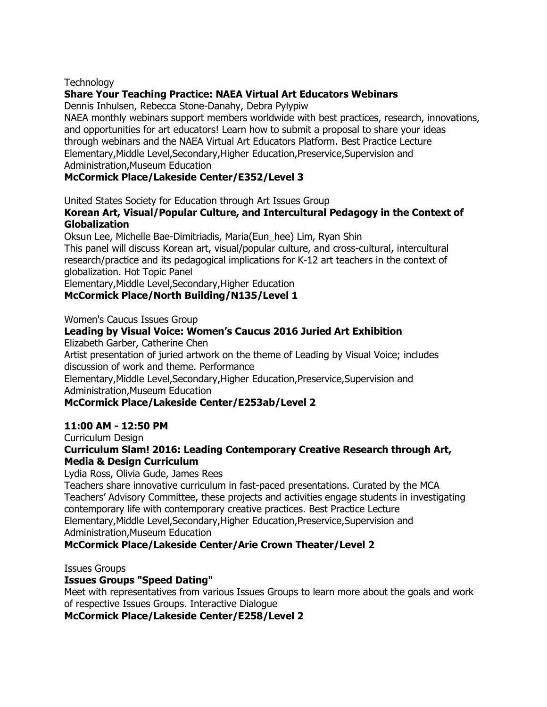### **Technology**

### **Share Your Teaching Practice: NAEA Virtual Art Educators Webinars**

Dennis Inhulsen, Rebecca Stone-Danahy, Debra Pylypiw

NAEA monthly webinars support members worldwide with best practices, research, innovations, and opportunities for art educators! Learn how to submit a proposal to share your ideas through webinars and the NAEA Virtual Art Educators Platform. Best Practice Lecture Elementary,Middle Level,Secondary,Higher Education,Preservice,Supervision and Administration,Museum Education

### **McCormick Place/Lakeside Center/E352/Level 3**

United States Society for Education through Art Issues Group

### **Korean Art, Visual/Popular Culture, and Intercultural Pedagogy in the Context of Globalization**

Oksun Lee, Michelle Bae-Dimitriadis, Maria(Eun\_hee) Lim, Ryan Shin This panel will discuss Korean art, visual/popular culture, and cross-cultural, intercultural research/practice and its pedagogical implications for K-12 art teachers in the context of globalization. Hot Topic Panel

Elementary,Middle Level,Secondary,Higher Education

#### **McCormick Place/North Building/N135/Level 1**

Women's Caucus Issues Group

### **Leading by Visual Voice: Women's Caucus 2016 Juried Art Exhibition**

Elizabeth Garber, Catherine Chen

Artist presentation of juried artwork on the theme of Leading by Visual Voice; includes discussion of work and theme. Performance

Elementary,Middle Level,Secondary,Higher Education,Preservice,Supervision and Administration,Museum Education

### **McCormick Place/Lakeside Center/E253ab/Level 2**

### **11:00 AM - 12:50 PM**

Curriculum Design

### **Curriculum Slam! 2016: Leading Contemporary Creative Research through Art, Media & Design Curriculum**

Lydia Ross, Olivia Gude, James Rees

Teachers share innovative curriculum in fast-paced presentations. Curated by the MCA Teachers' Advisory Committee, these projects and activities engage students in investigating contemporary life with contemporary creative practices. Best Practice Lecture Elementary,Middle Level,Secondary,Higher Education,Preservice,Supervision and Administration,Museum Education

### **McCormick Place/Lakeside Center/Arie Crown Theater/Level 2**

Issues Groups

### **Issues Groups "Speed Dating"**

Meet with representatives from various Issues Groups to learn more about the goals and work of respective Issues Groups. Interactive Dialogue

### **McCormick Place/Lakeside Center/E258/Level 2**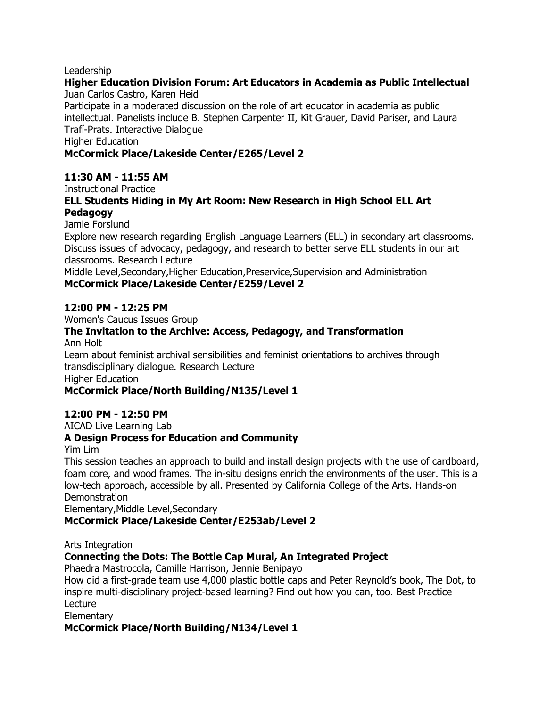#### Leadership

#### **Higher Education Division Forum: Art Educators in Academia as Public Intellectual** Juan Carlos Castro, Karen Heid

Participate in a moderated discussion on the role of art educator in academia as public intellectual. Panelists include B. Stephen Carpenter II, Kit Grauer, David Pariser, and Laura Trafí-Prats. Interactive Dialogue

Higher Education

### **McCormick Place/Lakeside Center/E265/Level 2**

#### **11:30 AM - 11:55 AM**

Instructional Practice

#### **ELL Students Hiding in My Art Room: New Research in High School ELL Art Pedagogy**

Jamie Forslund

Explore new research regarding English Language Learners (ELL) in secondary art classrooms. Discuss issues of advocacy, pedagogy, and research to better serve ELL students in our art classrooms. Research Lecture

Middle Level,Secondary,Higher Education,Preservice,Supervision and Administration **McCormick Place/Lakeside Center/E259/Level 2**

#### **12:00 PM - 12:25 PM**

Women's Caucus Issues Group

### **The Invitation to the Archive: Access, Pedagogy, and Transformation**

Ann Holt

Learn about feminist archival sensibilities and feminist orientations to archives through transdisciplinary dialogue. Research Lecture Higher Education

### **McCormick Place/North Building/N135/Level 1**

### **12:00 PM - 12:50 PM**

AICAD Live Learning Lab

### **A Design Process for Education and Community**

Yim Lim

This session teaches an approach to build and install design projects with the use of cardboard, foam core, and wood frames. The in-situ designs enrich the environments of the user. This is a low-tech approach, accessible by all. Presented by California College of the Arts. Hands-on **Demonstration** 

Elementary,Middle Level,Secondary

### **McCormick Place/Lakeside Center/E253ab/Level 2**

Arts Integration

### **Connecting the Dots: The Bottle Cap Mural, An Integrated Project**

Phaedra Mastrocola, Camille Harrison, Jennie Benipayo

How did a first-grade team use 4,000 plastic bottle caps and Peter Reynold's book, The Dot, to inspire multi-disciplinary project-based learning? Find out how you can, too. Best Practice Lecture

**Elementary** 

### **McCormick Place/North Building/N134/Level 1**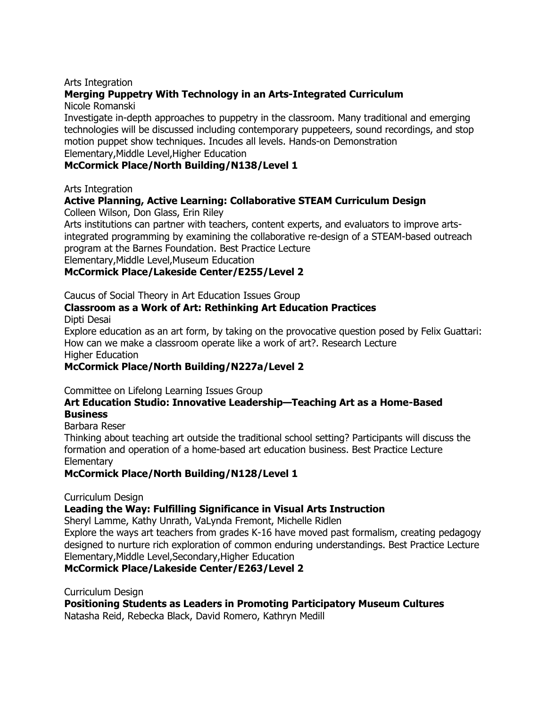#### Arts Integration

### **Merging Puppetry With Technology in an Arts-Integrated Curriculum**

Nicole Romanski

Investigate in-depth approaches to puppetry in the classroom. Many traditional and emerging technologies will be discussed including contemporary puppeteers, sound recordings, and stop motion puppet show techniques. Incudes all levels. Hands-on Demonstration

Elementary,Middle Level,Higher Education

### **McCormick Place/North Building/N138/Level 1**

Arts Integration

### **Active Planning, Active Learning: Collaborative STEAM Curriculum Design**

Colleen Wilson, Don Glass, Erin Riley

Arts institutions can partner with teachers, content experts, and evaluators to improve artsintegrated programming by examining the collaborative re-design of a STEAM-based outreach program at the Barnes Foundation. Best Practice Lecture

Elementary,Middle Level,Museum Education

### **McCormick Place/Lakeside Center/E255/Level 2**

#### Caucus of Social Theory in Art Education Issues Group

# **Classroom as a Work of Art: Rethinking Art Education Practices**

Dipti Desai

Explore education as an art form, by taking on the provocative question posed by Felix Guattari: How can we make a classroom operate like a work of art?. Research Lecture Higher Education

### **McCormick Place/North Building/N227a/Level 2**

Committee on Lifelong Learning Issues Group

#### **Art Education Studio: Innovative Leadership—Teaching Art as a Home-Based Business**

Barbara Reser

Thinking about teaching art outside the traditional school setting? Participants will discuss the formation and operation of a home-based art education business. Best Practice Lecture **Elementary** 

### **McCormick Place/North Building/N128/Level 1**

#### Curriculum Design

### **Leading the Way: Fulfilling Significance in Visual Arts Instruction**

Sheryl Lamme, Kathy Unrath, VaLynda Fremont, Michelle Ridlen

Explore the ways art teachers from grades K-16 have moved past formalism, creating pedagogy designed to nurture rich exploration of common enduring understandings. Best Practice Lecture Elementary,Middle Level,Secondary,Higher Education

### **McCormick Place/Lakeside Center/E263/Level 2**

Curriculum Design

**Positioning Students as Leaders in Promoting Participatory Museum Cultures** Natasha Reid, Rebecka Black, David Romero, Kathryn Medill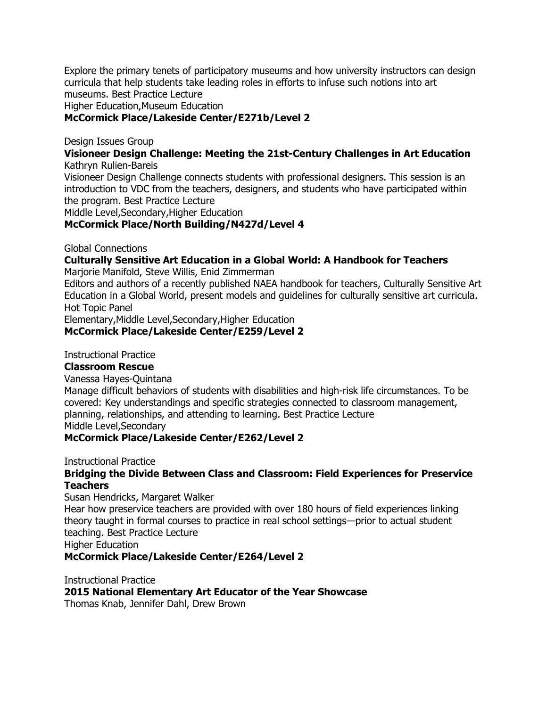Explore the primary tenets of participatory museums and how university instructors can design curricula that help students take leading roles in efforts to infuse such notions into art museums. Best Practice Lecture

Higher Education,Museum Education

#### **McCormick Place/Lakeside Center/E271b/Level 2**

Design Issues Group

**Visioneer Design Challenge: Meeting the 21st-Century Challenges in Art Education** Kathryn Rulien-Bareis

Visioneer Design Challenge connects students with professional designers. This session is an introduction to VDC from the teachers, designers, and students who have participated within the program. Best Practice Lecture

Middle Level,Secondary,Higher Education

#### **McCormick Place/North Building/N427d/Level 4**

Global Connections

## **Culturally Sensitive Art Education in a Global World: A Handbook for Teachers**

Marjorie Manifold, Steve Willis, Enid Zimmerman

Editors and authors of a recently published NAEA handbook for teachers, Culturally Sensitive Art Education in a Global World, present models and guidelines for culturally sensitive art curricula. Hot Topic Panel

Elementary,Middle Level,Secondary,Higher Education

#### **McCormick Place/Lakeside Center/E259/Level 2**

Instructional Practice

#### **Classroom Rescue**

Vanessa Hayes-Quintana

Manage difficult behaviors of students with disabilities and high-risk life circumstances. To be covered: Key understandings and specific strategies connected to classroom management, planning, relationships, and attending to learning. Best Practice Lecture Middle Level,Secondary

#### **McCormick Place/Lakeside Center/E262/Level 2**

Instructional Practice

#### **Bridging the Divide Between Class and Classroom: Field Experiences for Preservice Teachers**

Susan Hendricks, Margaret Walker

Hear how preservice teachers are provided with over 180 hours of field experiences linking theory taught in formal courses to practice in real school settings—prior to actual student teaching. Best Practice Lecture

Higher Education

#### **McCormick Place/Lakeside Center/E264/Level 2**

Instructional Practice

**2015 National Elementary Art Educator of the Year Showcase**

Thomas Knab, Jennifer Dahl, Drew Brown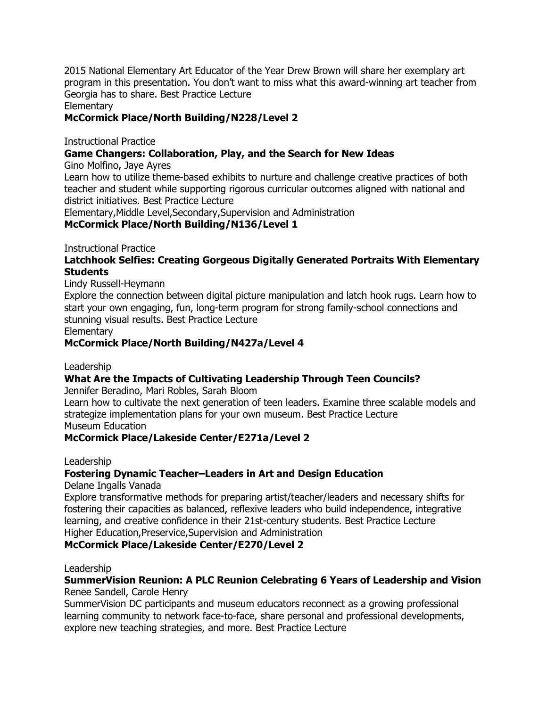2015 National Elementary Art Educator of the Year Drew Brown will share her exemplary art program in this presentation. You don't want to miss what this award-winning art teacher from Georgia has to share. Best Practice Lecture

Elementary

### **McCormick Place/North Building/N228/Level 2**

Instructional Practice

### **Game Changers: Collaboration, Play, and the Search for New Ideas**

Gino Molfino, Jaye Ayres

Learn how to utilize theme-based exhibits to nurture and challenge creative practices of both teacher and student while supporting rigorous curricular outcomes aligned with national and district initiatives. Best Practice Lecture

Elementary,Middle Level,Secondary,Supervision and Administration

### **McCormick Place/North Building/N136/Level 1**

Instructional Practice

### **Latchhook Selfies: Creating Gorgeous Digitally Generated Portraits With Elementary Students**

Lindy Russell-Heymann

Explore the connection between digital picture manipulation and latch hook rugs. Learn how to start your own engaging, fun, long-term program for strong family-school connections and stunning visual results. Best Practice Lecture

**Elementary** 

### **McCormick Place/North Building/N427a/Level 4**

Leadership

### **What Are the Impacts of Cultivating Leadership Through Teen Councils?**

Jennifer Beradino, Mari Robles, Sarah Bloom

Learn how to cultivate the next generation of teen leaders. Examine three scalable models and strategize implementation plans for your own museum. Best Practice Lecture Museum Education

### **McCormick Place/Lakeside Center/E271a/Level 2**

Leadership

### **Fostering Dynamic Teacher–Leaders in Art and Design Education**

Delane Ingalls Vanada

Explore transformative methods for preparing artist/teacher/leaders and necessary shifts for fostering their capacities as balanced, reflexive leaders who build independence, integrative learning, and creative confidence in their 21st-century students. Best Practice Lecture Higher Education,Preservice,Supervision and Administration

**McCormick Place/Lakeside Center/E270/Level 2**

Leadership

#### **SummerVision Reunion: A PLC Reunion Celebrating 6 Years of Leadership and Vision** Renee Sandell, Carole Henry

SummerVision DC participants and museum educators reconnect as a growing professional learning community to network face-to-face, share personal and professional developments, explore new teaching strategies, and more. Best Practice Lecture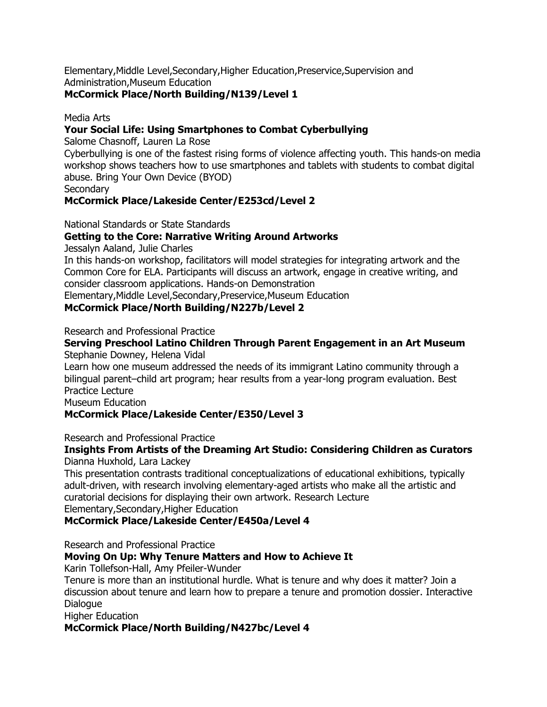Elementary,Middle Level,Secondary,Higher Education,Preservice,Supervision and Administration,Museum Education

### **McCormick Place/North Building/N139/Level 1**

Media Arts

### **Your Social Life: Using Smartphones to Combat Cyberbullying**

Salome Chasnoff, Lauren La Rose

Cyberbullying is one of the fastest rising forms of violence affecting youth. This hands-on media workshop shows teachers how to use smartphones and tablets with students to combat digital abuse. Bring Your Own Device (BYOD)

**Secondary** 

### **McCormick Place/Lakeside Center/E253cd/Level 2**

National Standards or State Standards

### **Getting to the Core: Narrative Writing Around Artworks**

Jessalyn Aaland, Julie Charles

In this hands-on workshop, facilitators will model strategies for integrating artwork and the Common Core for ELA. Participants will discuss an artwork, engage in creative writing, and consider classroom applications. Hands-on Demonstration

Elementary,Middle Level,Secondary,Preservice,Museum Education

### **McCormick Place/North Building/N227b/Level 2**

Research and Professional Practice

**Serving Preschool Latino Children Through Parent Engagement in an Art Museum** Stephanie Downey, Helena Vidal

Learn how one museum addressed the needs of its immigrant Latino community through a bilingual parent–child art program; hear results from a year-long program evaluation. Best Practice Lecture

Museum Education

### **McCormick Place/Lakeside Center/E350/Level 3**

Research and Professional Practice

## **Insights From Artists of the Dreaming Art Studio: Considering Children as Curators**

Dianna Huxhold, Lara Lackey

This presentation contrasts traditional conceptualizations of educational exhibitions, typically adult-driven, with research involving elementary-aged artists who make all the artistic and curatorial decisions for displaying their own artwork. Research Lecture Elementary,Secondary,Higher Education

### **McCormick Place/Lakeside Center/E450a/Level 4**

Research and Professional Practice

### **Moving On Up: Why Tenure Matters and How to Achieve It**

Karin Tollefson-Hall, Amy Pfeiler-Wunder

Tenure is more than an institutional hurdle. What is tenure and why does it matter? Join a discussion about tenure and learn how to prepare a tenure and promotion dossier. Interactive Dialogue

Higher Education

### **McCormick Place/North Building/N427bc/Level 4**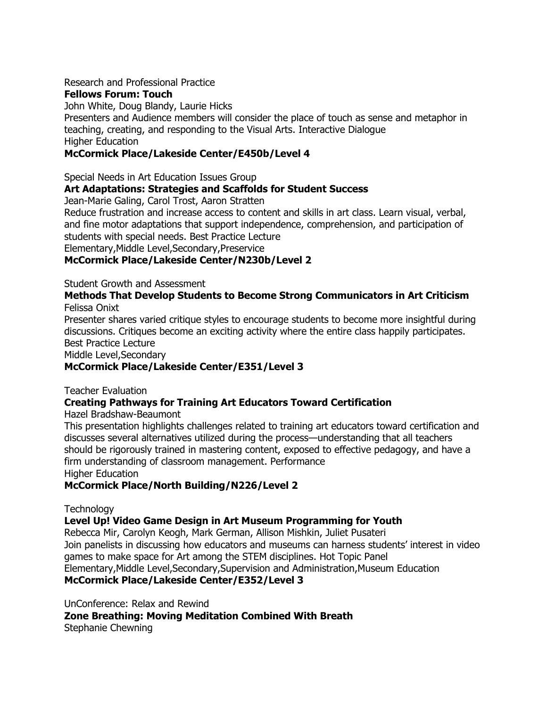Research and Professional Practice

### **Fellows Forum: Touch**

John White, Doug Blandy, Laurie Hicks

Presenters and Audience members will consider the place of touch as sense and metaphor in teaching, creating, and responding to the Visual Arts. Interactive Dialogue Higher Education

### **McCormick Place/Lakeside Center/E450b/Level 4**

Special Needs in Art Education Issues Group

### **Art Adaptations: Strategies and Scaffolds for Student Success**

Jean-Marie Galing, Carol Trost, Aaron Stratten

Reduce frustration and increase access to content and skills in art class. Learn visual, verbal, and fine motor adaptations that support independence, comprehension, and participation of students with special needs. Best Practice Lecture

Elementary,Middle Level,Secondary,Preservice

### **McCormick Place/Lakeside Center/N230b/Level 2**

Student Growth and Assessment

#### **Methods That Develop Students to Become Strong Communicators in Art Criticism** Felissa Onixt

Presenter shares varied critique styles to encourage students to become more insightful during discussions. Critiques become an exciting activity where the entire class happily participates. Best Practice Lecture

Middle Level,Secondary

### **McCormick Place/Lakeside Center/E351/Level 3**

### Teacher Evaluation

### **Creating Pathways for Training Art Educators Toward Certification**

Hazel Bradshaw-Beaumont

This presentation highlights challenges related to training art educators toward certification and discusses several alternatives utilized during the process—understanding that all teachers should be rigorously trained in mastering content, exposed to effective pedagogy, and have a firm understanding of classroom management. Performance

Higher Education

### **McCormick Place/North Building/N226/Level 2**

**Technology** 

### **Level Up! Video Game Design in Art Museum Programming for Youth**

Rebecca Mir, Carolyn Keogh, Mark German, Allison Mishkin, Juliet Pusateri Join panelists in discussing how educators and museums can harness students' interest in video games to make space for Art among the STEM disciplines. Hot Topic Panel Elementary,Middle Level,Secondary,Supervision and Administration,Museum Education

### **McCormick Place/Lakeside Center/E352/Level 3**

UnConference: Relax and Rewind

**Zone Breathing: Moving Meditation Combined With Breath**

Stephanie Chewning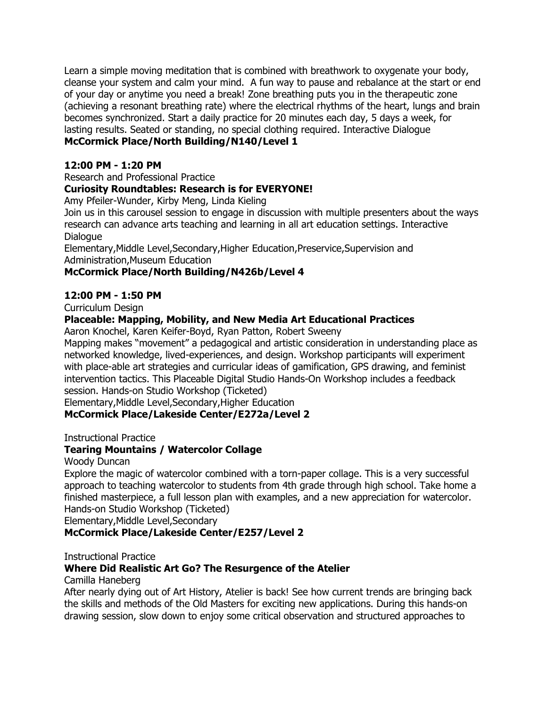Learn a simple moving meditation that is combined with breathwork to oxygenate your body, cleanse your system and calm your mind. A fun way to pause and rebalance at the start or end of your day or anytime you need a break! Zone breathing puts you in the therapeutic zone (achieving a resonant breathing rate) where the electrical rhythms of the heart, lungs and brain becomes synchronized. Start a daily practice for 20 minutes each day, 5 days a week, for lasting results. Seated or standing, no special clothing required. Interactive Dialogue

### **McCormick Place/North Building/N140/Level 1**

### **12:00 PM - 1:20 PM**

#### Research and Professional Practice

### **Curiosity Roundtables: Research is for EVERYONE!**

Amy Pfeiler-Wunder, Kirby Meng, Linda Kieling

Join us in this carousel session to engage in discussion with multiple presenters about the ways research can advance arts teaching and learning in all art education settings. Interactive Dialogue

Elementary,Middle Level,Secondary,Higher Education,Preservice,Supervision and Administration,Museum Education

### **McCormick Place/North Building/N426b/Level 4**

#### **12:00 PM - 1:50 PM**

Curriculum Design

### **Placeable: Mapping, Mobility, and New Media Art Educational Practices**

Aaron Knochel, Karen Keifer-Boyd, Ryan Patton, Robert Sweeny

Mapping makes "movement" a pedagogical and artistic consideration in understanding place as networked knowledge, lived-experiences, and design. Workshop participants will experiment with place-able art strategies and curricular ideas of gamification, GPS drawing, and feminist intervention tactics. This Placeable Digital Studio Hands-On Workshop includes a feedback session. Hands-on Studio Workshop (Ticketed)

Elementary,Middle Level,Secondary,Higher Education

### **McCormick Place/Lakeside Center/E272a/Level 2**

Instructional Practice

### **Tearing Mountains / Watercolor Collage**

Woody Duncan

Explore the magic of watercolor combined with a torn-paper collage. This is a very successful approach to teaching watercolor to students from 4th grade through high school. Take home a finished masterpiece, a full lesson plan with examples, and a new appreciation for watercolor. Hands-on Studio Workshop (Ticketed)

Elementary,Middle Level,Secondary

### **McCormick Place/Lakeside Center/E257/Level 2**

### Instructional Practice

### **Where Did Realistic Art Go? The Resurgence of the Atelier**

#### Camilla Haneberg

After nearly dying out of Art History, Atelier is back! See how current trends are bringing back the skills and methods of the Old Masters for exciting new applications. During this hands-on drawing session, slow down to enjoy some critical observation and structured approaches to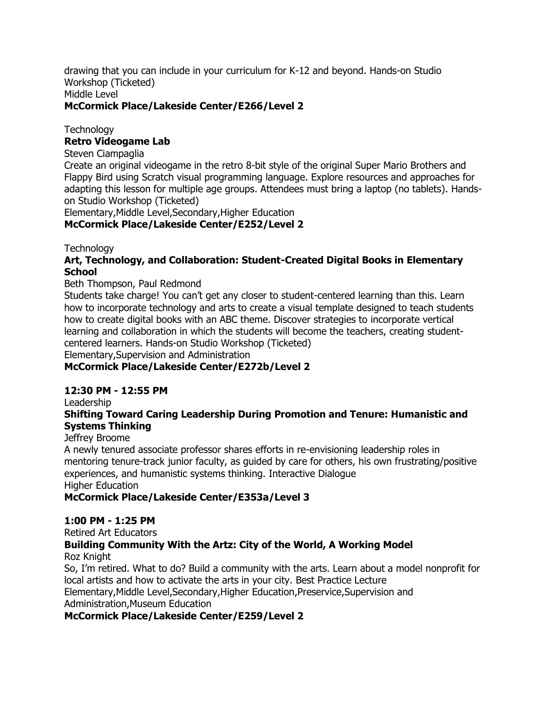drawing that you can include in your curriculum for K-12 and beyond. Hands-on Studio Workshop (Ticketed) Middle Level

### **McCormick Place/Lakeside Center/E266/Level 2**

**Technology** 

#### **Retro Videogame Lab**

Steven Ciampaglia

Create an original videogame in the retro 8-bit style of the original Super Mario Brothers and Flappy Bird using Scratch visual programming language. Explore resources and approaches for adapting this lesson for multiple age groups. Attendees must bring a laptop (no tablets). Handson Studio Workshop (Ticketed)

Elementary,Middle Level,Secondary,Higher Education

**McCormick Place/Lakeside Center/E252/Level 2**

**Technology** 

### **Art, Technology, and Collaboration: Student-Created Digital Books in Elementary School**

#### Beth Thompson, Paul Redmond

Students take charge! You can't get any closer to student-centered learning than this. Learn how to incorporate technology and arts to create a visual template designed to teach students how to create digital books with an ABC theme. Discover strategies to incorporate vertical learning and collaboration in which the students will become the teachers, creating studentcentered learners. Hands-on Studio Workshop (Ticketed) Elementary,Supervision and Administration

### **McCormick Place/Lakeside Center/E272b/Level 2**

#### **12:30 PM - 12:55 PM**

Leadership

### **Shifting Toward Caring Leadership During Promotion and Tenure: Humanistic and Systems Thinking**

#### Jeffrey Broome

A newly tenured associate professor shares efforts in re-envisioning leadership roles in mentoring tenure-track junior faculty, as guided by care for others, his own frustrating/positive experiences, and humanistic systems thinking. Interactive Dialogue Higher Education

### **McCormick Place/Lakeside Center/E353a/Level 3**

#### **1:00 PM - 1:25 PM**

Retired Art Educators

#### **Building Community With the Artz: City of the World, A Working Model** Roz Knight

So, I'm retired. What to do? Build a community with the arts. Learn about a model nonprofit for local artists and how to activate the arts in your city. Best Practice Lecture Elementary,Middle Level,Secondary,Higher Education,Preservice,Supervision and Administration,Museum Education

### **McCormick Place/Lakeside Center/E259/Level 2**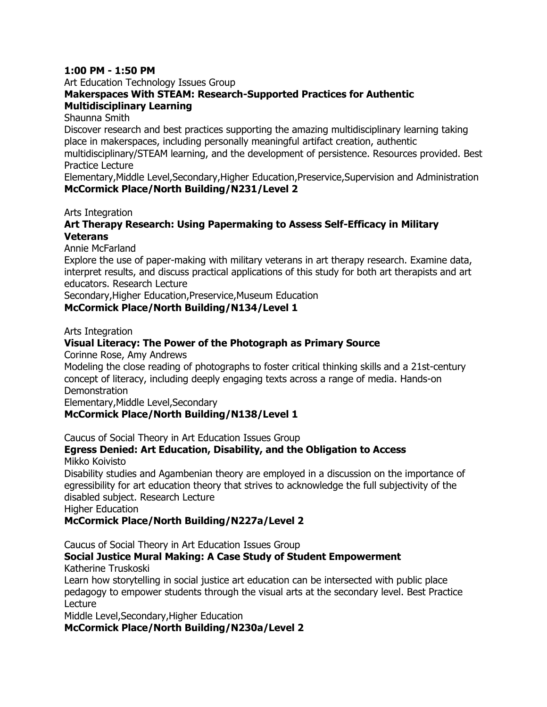#### **1:00 PM - 1:50 PM**

Art Education Technology Issues Group

### **Makerspaces With STEAM: Research-Supported Practices for Authentic Multidisciplinary Learning**

Shaunna Smith

Discover research and best practices supporting the amazing multidisciplinary learning taking place in makerspaces, including personally meaningful artifact creation, authentic multidisciplinary/STEAM learning, and the development of persistence. Resources provided. Best Practice Lecture

Elementary,Middle Level,Secondary,Higher Education,Preservice,Supervision and Administration **McCormick Place/North Building/N231/Level 2**

Arts Integration

### **Art Therapy Research: Using Papermaking to Assess Self-Efficacy in Military Veterans**

Annie McFarland

Explore the use of paper-making with military veterans in art therapy research. Examine data, interpret results, and discuss practical applications of this study for both art therapists and art educators. Research Lecture

Secondary,Higher Education,Preservice,Museum Education

**McCormick Place/North Building/N134/Level 1**

Arts Integration

### **Visual Literacy: The Power of the Photograph as Primary Source**

Corinne Rose, Amy Andrews

Modeling the close reading of photographs to foster critical thinking skills and a 21st-century concept of literacy, including deeply engaging texts across a range of media. Hands-on **Demonstration** 

Elementary,Middle Level,Secondary

### **McCormick Place/North Building/N138/Level 1**

Caucus of Social Theory in Art Education Issues Group

## **Egress Denied: Art Education, Disability, and the Obligation to Access**

Mikko Koivisto

Disability studies and Agambenian theory are employed in a discussion on the importance of egressibility for art education theory that strives to acknowledge the full subjectivity of the disabled subject. Research Lecture

Higher Education

### **McCormick Place/North Building/N227a/Level 2**

Caucus of Social Theory in Art Education Issues Group

#### **Social Justice Mural Making: A Case Study of Student Empowerment** Katherine Truskoski

Learn how storytelling in social justice art education can be intersected with public place pedagogy to empower students through the visual arts at the secondary level. Best Practice Lecture

Middle Level,Secondary,Higher Education

**McCormick Place/North Building/N230a/Level 2**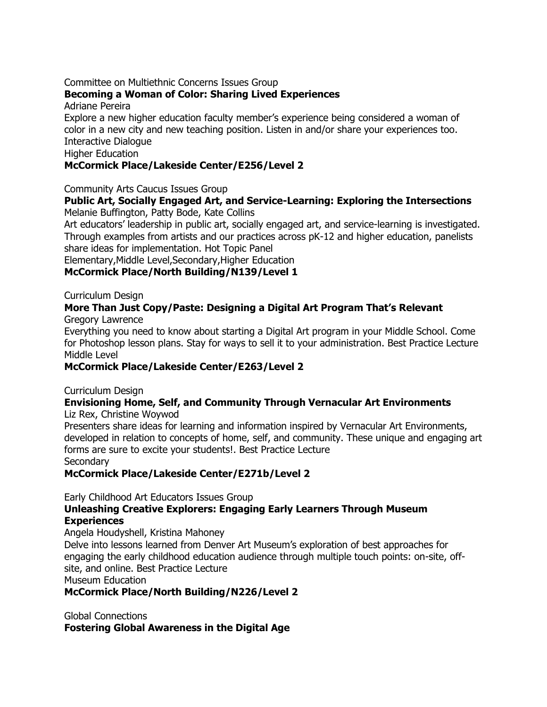#### Committee on Multiethnic Concerns Issues Group

### **Becoming a Woman of Color: Sharing Lived Experiences**

Adriane Pereira

Explore a new higher education faculty member's experience being considered a woman of color in a new city and new teaching position. Listen in and/or share your experiences too. Interactive Dialogue

Higher Education

### **McCormick Place/Lakeside Center/E256/Level 2**

Community Arts Caucus Issues Group

### **Public Art, Socially Engaged Art, and Service-Learning: Exploring the Intersections** Melanie Buffington, Patty Bode, Kate Collins

Art educators' leadership in public art, socially engaged art, and service-learning is investigated. Through examples from artists and our practices across pK-12 and higher education, panelists share ideas for implementation. Hot Topic Panel

Elementary,Middle Level,Secondary,Higher Education

### **McCormick Place/North Building/N139/Level 1**

Curriculum Design

#### **More Than Just Copy/Paste: Designing a Digital Art Program That's Relevant** Gregory Lawrence

Everything you need to know about starting a Digital Art program in your Middle School. Come for Photoshop lesson plans. Stay for ways to sell it to your administration. Best Practice Lecture Middle Level

### **McCormick Place/Lakeside Center/E263/Level 2**

Curriculum Design

#### **Envisioning Home, Self, and Community Through Vernacular Art Environments** Liz Rex, Christine Woywod

Presenters share ideas for learning and information inspired by Vernacular Art Environments, developed in relation to concepts of home, self, and community. These unique and engaging art forms are sure to excite your students!. Best Practice Lecture **Secondary** 

**McCormick Place/Lakeside Center/E271b/Level 2**

Early Childhood Art Educators Issues Group

### **Unleashing Creative Explorers: Engaging Early Learners Through Museum Experiences**

Angela Houdyshell, Kristina Mahoney

Delve into lessons learned from Denver Art Museum's exploration of best approaches for engaging the early childhood education audience through multiple touch points: on-site, offsite, and online. Best Practice Lecture

Museum Education

### **McCormick Place/North Building/N226/Level 2**

Global Connections **Fostering Global Awareness in the Digital Age**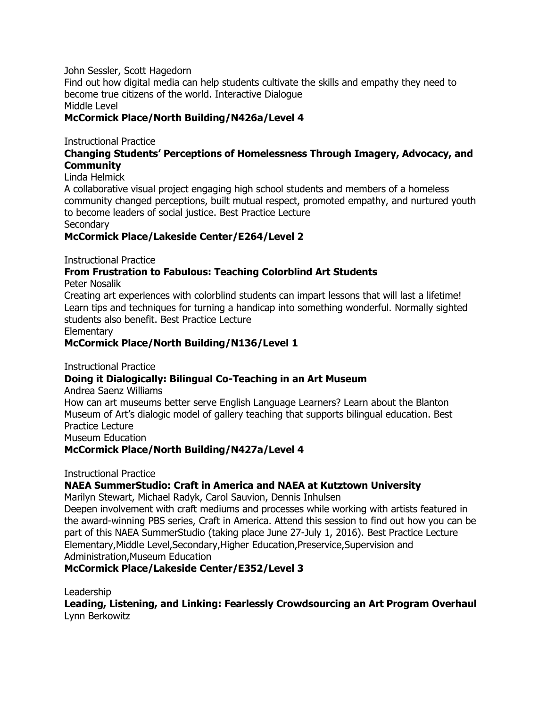John Sessler, Scott Hagedorn

Find out how digital media can help students cultivate the skills and empathy they need to become true citizens of the world. Interactive Dialogue Middle Level

**McCormick Place/North Building/N426a/Level 4**

Instructional Practice

### **Changing Students' Perceptions of Homelessness Through Imagery, Advocacy, and Community**

Linda Helmick

A collaborative visual project engaging high school students and members of a homeless community changed perceptions, built mutual respect, promoted empathy, and nurtured youth to become leaders of social justice. Best Practice Lecture

**Secondary** 

### **McCormick Place/Lakeside Center/E264/Level 2**

Instructional Practice

### **From Frustration to Fabulous: Teaching Colorblind Art Students**

Peter Nosalik

Creating art experiences with colorblind students can impart lessons that will last a lifetime! Learn tips and techniques for turning a handicap into something wonderful. Normally sighted students also benefit. Best Practice Lecture

**Elementary** 

### **McCormick Place/North Building/N136/Level 1**

Instructional Practice

### **Doing it Dialogically: Bilingual Co-Teaching in an Art Museum**

Andrea Saenz Williams

How can art museums better serve English Language Learners? Learn about the Blanton Museum of Art's dialogic model of gallery teaching that supports bilingual education. Best Practice Lecture Museum Education

**McCormick Place/North Building/N427a/Level 4**

Instructional Practice

### **NAEA SummerStudio: Craft in America and NAEA at Kutztown University**

Marilyn Stewart, Michael Radyk, Carol Sauvion, Dennis Inhulsen

Deepen involvement with craft mediums and processes while working with artists featured in the award-winning PBS series, Craft in America. Attend this session to find out how you can be part of this NAEA SummerStudio (taking place June 27-July 1, 2016). Best Practice Lecture Elementary,Middle Level,Secondary,Higher Education,Preservice,Supervision and Administration,Museum Education

### **McCormick Place/Lakeside Center/E352/Level 3**

Leadership

**Leading, Listening, and Linking: Fearlessly Crowdsourcing an Art Program Overhaul** Lynn Berkowitz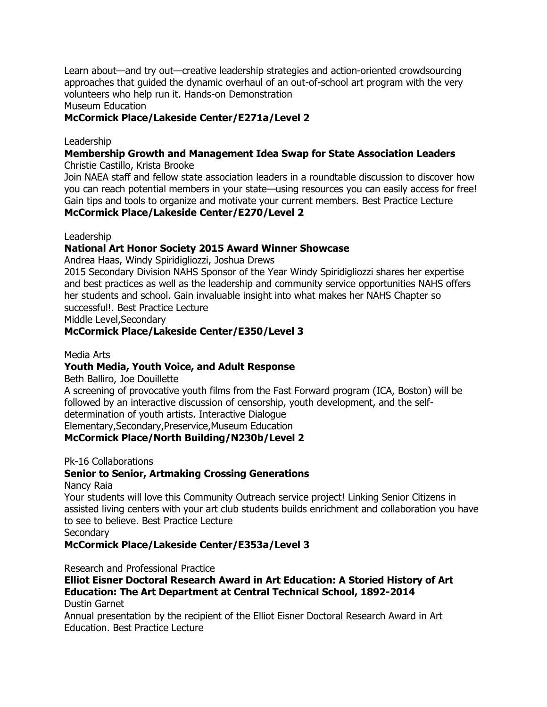Learn about—and try out—creative leadership strategies and action-oriented crowdsourcing approaches that guided the dynamic overhaul of an out-of-school art program with the very volunteers who help run it. Hands-on Demonstration

Museum Education

### **McCormick Place/Lakeside Center/E271a/Level 2**

#### Leadership

#### **Membership Growth and Management Idea Swap for State Association Leaders** Christie Castillo, Krista Brooke

Join NAEA staff and fellow state association leaders in a roundtable discussion to discover how you can reach potential members in your state—using resources you can easily access for free! Gain tips and tools to organize and motivate your current members. Best Practice Lecture

### **McCormick Place/Lakeside Center/E270/Level 2**

Leadership

### **National Art Honor Society 2015 Award Winner Showcase**

Andrea Haas, Windy Spiridigliozzi, Joshua Drews

2015 Secondary Division NAHS Sponsor of the Year Windy Spiridigliozzi shares her expertise and best practices as well as the leadership and community service opportunities NAHS offers her students and school. Gain invaluable insight into what makes her NAHS Chapter so successful!. Best Practice Lecture

Middle Level,Secondary

### **McCormick Place/Lakeside Center/E350/Level 3**

#### Media Arts

### **Youth Media, Youth Voice, and Adult Response**

Beth Balliro, Joe Douillette

A screening of provocative youth films from the Fast Forward program (ICA, Boston) will be followed by an interactive discussion of censorship, youth development, and the selfdetermination of youth artists. Interactive Dialogue Elementary,Secondary,Preservice,Museum Education

**McCormick Place/North Building/N230b/Level 2**

Pk-16 Collaborations

### **Senior to Senior, Artmaking Crossing Generations**

Nancy Raia

Your students will love this Community Outreach service project! Linking Senior Citizens in assisted living centers with your art club students builds enrichment and collaboration you have to see to believe. Best Practice Lecture

**Secondary** 

**McCormick Place/Lakeside Center/E353a/Level 3**

Research and Professional Practice

## **Elliot Eisner Doctoral Research Award in Art Education: A Storied History of Art Education: The Art Department at Central Technical School, 1892-2014**

Dustin Garnet

Annual presentation by the recipient of the Elliot Eisner Doctoral Research Award in Art Education. Best Practice Lecture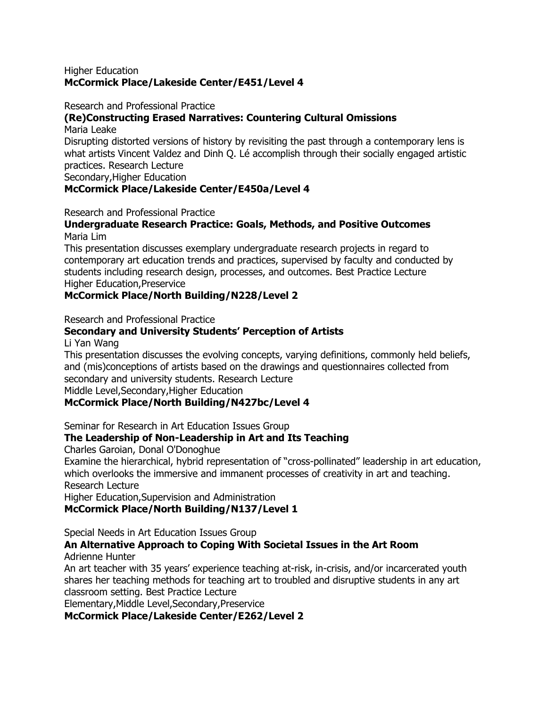#### Higher Education **McCormick Place/Lakeside Center/E451/Level 4**

Research and Professional Practice

### **(Re)Constructing Erased Narratives: Countering Cultural Omissions**

Maria Leake

Disrupting distorted versions of history by revisiting the past through a contemporary lens is what artists Vincent Valdez and Dinh Q. Lé accomplish through their socially engaged artistic practices. Research Lecture

Secondary,Higher Education

### **McCormick Place/Lakeside Center/E450a/Level 4**

Research and Professional Practice

#### **Undergraduate Research Practice: Goals, Methods, and Positive Outcomes** Maria Lim

This presentation discusses exemplary undergraduate research projects in regard to contemporary art education trends and practices, supervised by faculty and conducted by students including research design, processes, and outcomes. Best Practice Lecture Higher Education,Preservice

### **McCormick Place/North Building/N228/Level 2**

Research and Professional Practice

### **Secondary and University Students' Perception of Artists**

Li Yan Wang

This presentation discusses the evolving concepts, varying definitions, commonly held beliefs, and (mis)conceptions of artists based on the drawings and questionnaires collected from secondary and university students. Research Lecture

Middle Level,Secondary,Higher Education

### **McCormick Place/North Building/N427bc/Level 4**

Seminar for Research in Art Education Issues Group

### **The Leadership of Non-Leadership in Art and Its Teaching**

Charles Garoian, Donal O'Donoghue

Examine the hierarchical, hybrid representation of "cross-pollinated" leadership in art education, which overlooks the immersive and immanent processes of creativity in art and teaching. Research Lecture

Higher Education,Supervision and Administration

### **McCormick Place/North Building/N137/Level 1**

Special Needs in Art Education Issues Group

#### **An Alternative Approach to Coping With Societal Issues in the Art Room** Adrienne Hunter

An art teacher with 35 years' experience teaching at-risk, in-crisis, and/or incarcerated youth shares her teaching methods for teaching art to troubled and disruptive students in any art classroom setting. Best Practice Lecture

Elementary,Middle Level,Secondary,Preservice

### **McCormick Place/Lakeside Center/E262/Level 2**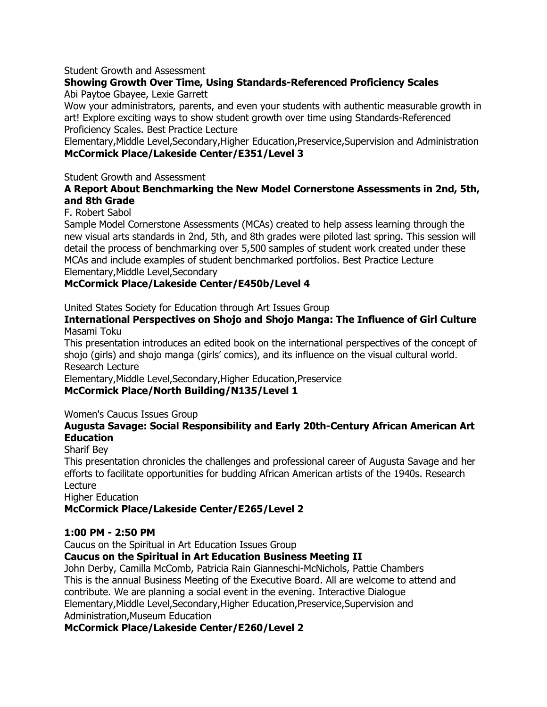#### Student Growth and Assessment

### **Showing Growth Over Time, Using Standards-Referenced Proficiency Scales**

Abi Paytoe Gbayee, Lexie Garrett

Wow your administrators, parents, and even your students with authentic measurable growth in art! Explore exciting ways to show student growth over time using Standards-Referenced Proficiency Scales. Best Practice Lecture

Elementary,Middle Level,Secondary,Higher Education,Preservice,Supervision and Administration **McCormick Place/Lakeside Center/E351/Level 3**

#### Student Growth and Assessment

#### **A Report About Benchmarking the New Model Cornerstone Assessments in 2nd, 5th, and 8th Grade**

#### F. Robert Sabol

Sample Model Cornerstone Assessments (MCAs) created to help assess learning through the new visual arts standards in 2nd, 5th, and 8th grades were piloted last spring. This session will detail the process of benchmarking over 5,500 samples of student work created under these MCAs and include examples of student benchmarked portfolios. Best Practice Lecture Elementary,Middle Level,Secondary

### **McCormick Place/Lakeside Center/E450b/Level 4**

United States Society for Education through Art Issues Group

**International Perspectives on Shojo and Shojo Manga: The Influence of Girl Culture** Masami Toku

This presentation introduces an edited book on the international perspectives of the concept of shojo (girls) and shojo manga (girls' comics), and its influence on the visual cultural world. Research Lecture

Elementary,Middle Level,Secondary,Higher Education,Preservice

### **McCormick Place/North Building/N135/Level 1**

### Women's Caucus Issues Group

#### **Augusta Savage: Social Responsibility and Early 20th-Century African American Art Education**

Sharif Bey

This presentation chronicles the challenges and professional career of Augusta Savage and her efforts to facilitate opportunities for budding African American artists of the 1940s. Research Lecture

Higher Education

**McCormick Place/Lakeside Center/E265/Level 2**

### **1:00 PM - 2:50 PM**

Caucus on the Spiritual in Art Education Issues Group

### **Caucus on the Spiritual in Art Education Business Meeting II**

John Derby, Camilla McComb, Patricia Rain Gianneschi-McNichols, Pattie Chambers This is the annual Business Meeting of the Executive Board. All are welcome to attend and contribute. We are planning a social event in the evening. Interactive Dialogue Elementary,Middle Level,Secondary,Higher Education,Preservice,Supervision and Administration,Museum Education

### **McCormick Place/Lakeside Center/E260/Level 2**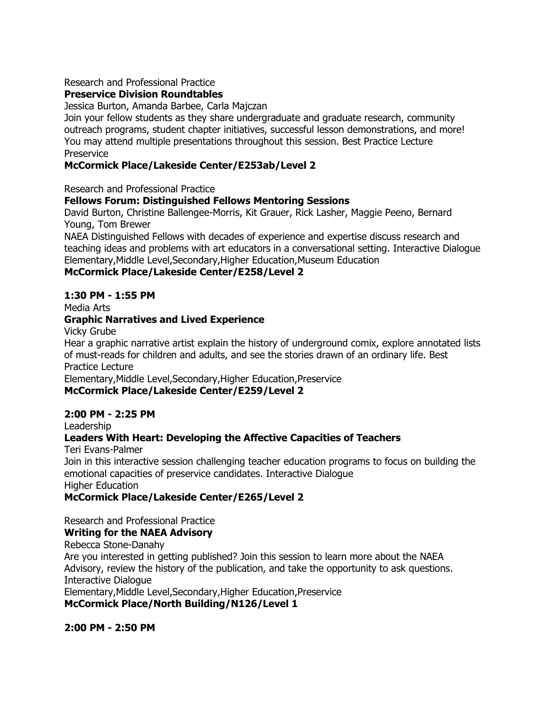#### Research and Professional Practice

### **Preservice Division Roundtables**

Jessica Burton, Amanda Barbee, Carla Majczan

Join your fellow students as they share undergraduate and graduate research, community outreach programs, student chapter initiatives, successful lesson demonstrations, and more! You may attend multiple presentations throughout this session. Best Practice Lecture Preservice

### **McCormick Place/Lakeside Center/E253ab/Level 2**

Research and Professional Practice

#### **Fellows Forum: Distinguished Fellows Mentoring Sessions**

David Burton, Christine Ballengee-Morris, Kit Grauer, Rick Lasher, Maggie Peeno, Bernard Young, Tom Brewer

NAEA Distinguished Fellows with decades of experience and expertise discuss research and teaching ideas and problems with art educators in a conversational setting. Interactive Dialogue Elementary,Middle Level,Secondary,Higher Education,Museum Education

#### **McCormick Place/Lakeside Center/E258/Level 2**

#### **1:30 PM - 1:55 PM**

Media Arts

#### **Graphic Narratives and Lived Experience**

Vicky Grube

Hear a graphic narrative artist explain the history of underground comix, explore annotated lists of must-reads for children and adults, and see the stories drawn of an ordinary life. Best Practice Lecture

Elementary,Middle Level,Secondary,Higher Education,Preservice

### **McCormick Place/Lakeside Center/E259/Level 2**

#### **2:00 PM - 2:25 PM**

Leadership

### **Leaders With Heart: Developing the Affective Capacities of Teachers**

Teri Evans-Palmer

Join in this interactive session challenging teacher education programs to focus on building the emotional capacities of preservice candidates. Interactive Dialogue Higher Education

### **McCormick Place/Lakeside Center/E265/Level 2**

Research and Professional Practice

### **Writing for the NAEA Advisory**

Rebecca Stone-Danahy Are you interested in getting published? Join this session to learn more about the NAEA Advisory, review the history of the publication, and take the opportunity to ask questions. Interactive Dialogue Elementary,Middle Level,Secondary,Higher Education,Preservice **McCormick Place/North Building/N126/Level 1**

#### **2:00 PM - 2:50 PM**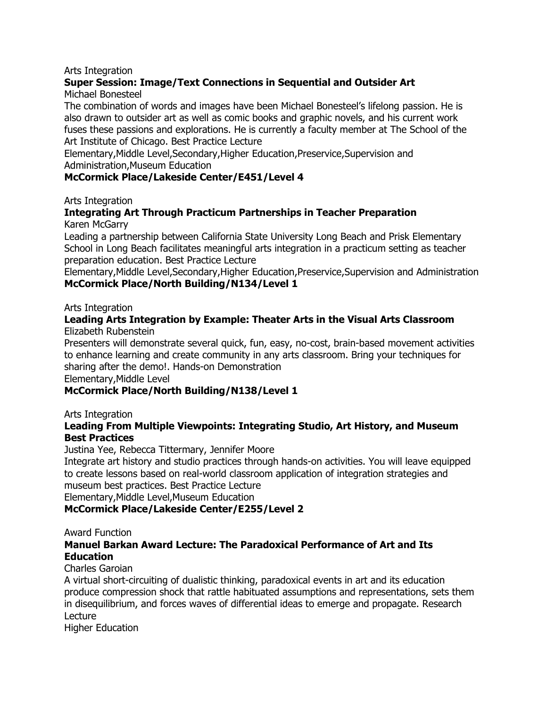#### Arts Integration

## **Super Session: Image/Text Connections in Sequential and Outsider Art**

Michael Bonesteel

The combination of words and images have been Michael Bonesteel's lifelong passion. He is also drawn to outsider art as well as comic books and graphic novels, and his current work fuses these passions and explorations. He is currently a faculty member at The School of the Art Institute of Chicago. Best Practice Lecture

Elementary,Middle Level,Secondary,Higher Education,Preservice,Supervision and Administration,Museum Education

### **McCormick Place/Lakeside Center/E451/Level 4**

Arts Integration

#### **Integrating Art Through Practicum Partnerships in Teacher Preparation** Karen McGarry

Leading a partnership between California State University Long Beach and Prisk Elementary School in Long Beach facilitates meaningful arts integration in a practicum setting as teacher preparation education. Best Practice Lecture

Elementary,Middle Level,Secondary,Higher Education,Preservice,Supervision and Administration **McCormick Place/North Building/N134/Level 1**

#### Arts Integration

#### **Leading Arts Integration by Example: Theater Arts in the Visual Arts Classroom** Elizabeth Rubenstein

Presenters will demonstrate several quick, fun, easy, no-cost, brain-based movement activities to enhance learning and create community in any arts classroom. Bring your techniques for sharing after the demo!. Hands-on Demonstration

Elementary,Middle Level

### **McCormick Place/North Building/N138/Level 1**

#### Arts Integration

#### **Leading From Multiple Viewpoints: Integrating Studio, Art History, and Museum Best Practices**

Justina Yee, Rebecca Tittermary, Jennifer Moore

Integrate art history and studio practices through hands-on activities. You will leave equipped to create lessons based on real-world classroom application of integration strategies and museum best practices. Best Practice Lecture

Elementary,Middle Level,Museum Education

### **McCormick Place/Lakeside Center/E255/Level 2**

#### Award Function

#### **Manuel Barkan Award Lecture: The Paradoxical Performance of Art and Its Education**

#### Charles Garoian

A virtual short-circuiting of dualistic thinking, paradoxical events in art and its education produce compression shock that rattle habituated assumptions and representations, sets them in disequilibrium, and forces waves of differential ideas to emerge and propagate. Research Lecture

Higher Education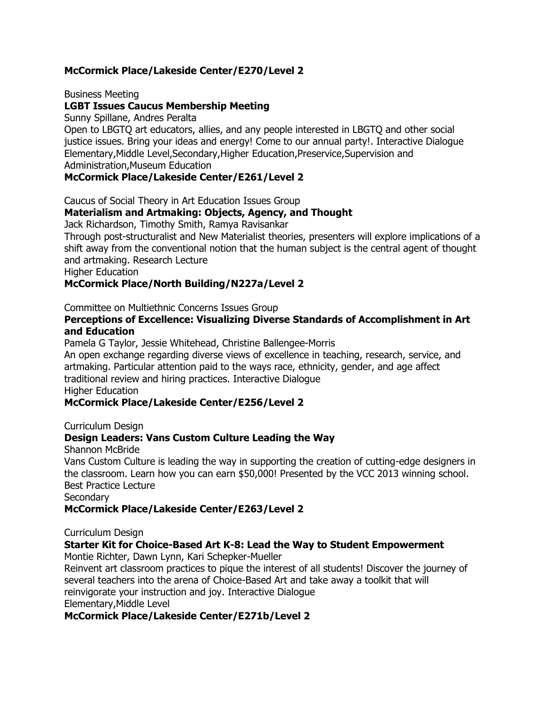### **McCormick Place/Lakeside Center/E270/Level 2**

Business Meeting

### **LGBT Issues Caucus Membership Meeting**

Sunny Spillane, Andres Peralta

Open to LBGTQ art educators, allies, and any people interested in LBGTQ and other social justice issues. Bring your ideas and energy! Come to our annual party!. Interactive Dialogue Elementary,Middle Level,Secondary,Higher Education,Preservice,Supervision and Administration,Museum Education

#### **McCormick Place/Lakeside Center/E261/Level 2**

Caucus of Social Theory in Art Education Issues Group

### **Materialism and Artmaking: Objects, Agency, and Thought**

Jack Richardson, Timothy Smith, Ramya Ravisankar

Through post-structuralist and New Materialist theories, presenters will explore implications of a shift away from the conventional notion that the human subject is the central agent of thought and artmaking. Research Lecture

Higher Education

### **McCormick Place/North Building/N227a/Level 2**

Committee on Multiethnic Concerns Issues Group

#### **Perceptions of Excellence: Visualizing Diverse Standards of Accomplishment in Art and Education**

Pamela G Taylor, Jessie Whitehead, Christine Ballengee-Morris

An open exchange regarding diverse views of excellence in teaching, research, service, and artmaking. Particular attention paid to the ways race, ethnicity, gender, and age affect traditional review and hiring practices. Interactive Dialogue

Higher Education

### **McCormick Place/Lakeside Center/E256/Level 2**

Curriculum Design

### **Design Leaders: Vans Custom Culture Leading the Way**

Shannon McBride

Vans Custom Culture is leading the way in supporting the creation of cutting-edge designers in the classroom. Learn how you can earn \$50,000! Presented by the VCC 2013 winning school. Best Practice Lecture

**Secondary** 

#### **McCormick Place/Lakeside Center/E263/Level 2**

Curriculum Design

### **Starter Kit for Choice-Based Art K-8: Lead the Way to Student Empowerment**

Montie Richter, Dawn Lynn, Kari Schepker-Mueller

Reinvent art classroom practices to pique the interest of all students! Discover the journey of several teachers into the arena of Choice-Based Art and take away a toolkit that will reinvigorate your instruction and joy. Interactive Dialogue Elementary,Middle Level

### **McCormick Place/Lakeside Center/E271b/Level 2**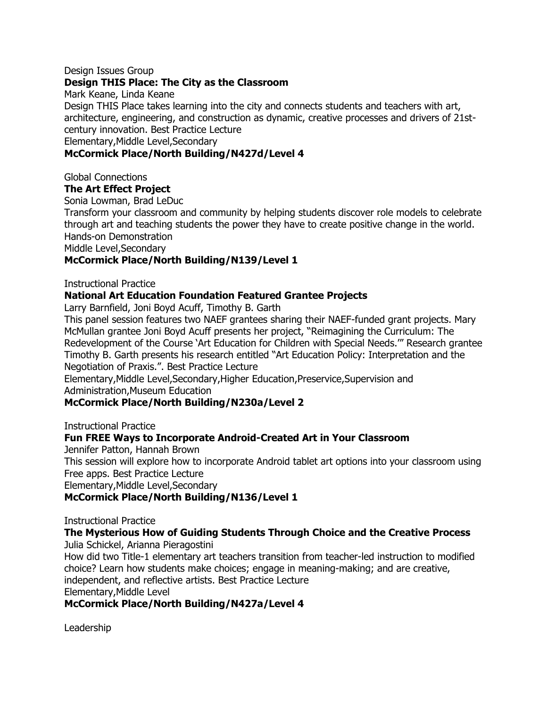#### Design Issues Group

#### **Design THIS Place: The City as the Classroom**

Mark Keane, Linda Keane

Design THIS Place takes learning into the city and connects students and teachers with art, architecture, engineering, and construction as dynamic, creative processes and drivers of 21stcentury innovation. Best Practice Lecture

Elementary,Middle Level,Secondary

#### **McCormick Place/North Building/N427d/Level 4**

Global Connections

### **The Art Effect Project**

Sonia Lowman, Brad LeDuc

Transform your classroom and community by helping students discover role models to celebrate through art and teaching students the power they have to create positive change in the world. Hands-on Demonstration

Middle Level,Secondary

### **McCormick Place/North Building/N139/Level 1**

Instructional Practice

#### **National Art Education Foundation Featured Grantee Projects**

Larry Barnfield, Joni Boyd Acuff, Timothy B. Garth

This panel session features two NAEF grantees sharing their NAEF-funded grant projects. Mary McMullan grantee Joni Boyd Acuff presents her project, "Reimagining the Curriculum: The Redevelopment of the Course `Art Education for Children with Special Needs." Research grantee Timothy B. Garth presents his research entitled "Art Education Policy: Interpretation and the Negotiation of Praxis.". Best Practice Lecture

Elementary,Middle Level,Secondary,Higher Education,Preservice,Supervision and Administration,Museum Education

### **McCormick Place/North Building/N230a/Level 2**

Instructional Practice

#### **Fun FREE Ways to Incorporate Android-Created Art in Your Classroom**

Jennifer Patton, Hannah Brown

This session will explore how to incorporate Android tablet art options into your classroom using Free apps. Best Practice Lecture

Elementary,Middle Level,Secondary

#### **McCormick Place/North Building/N136/Level 1**

Instructional Practice

## **The Mysterious How of Guiding Students Through Choice and the Creative Process**

Julia Schickel, Arianna Pieragostini

How did two Title-1 elementary art teachers transition from teacher-led instruction to modified choice? Learn how students make choices; engage in meaning-making; and are creative, independent, and reflective artists. Best Practice Lecture Elementary,Middle Level

#### **McCormick Place/North Building/N427a/Level 4**

Leadership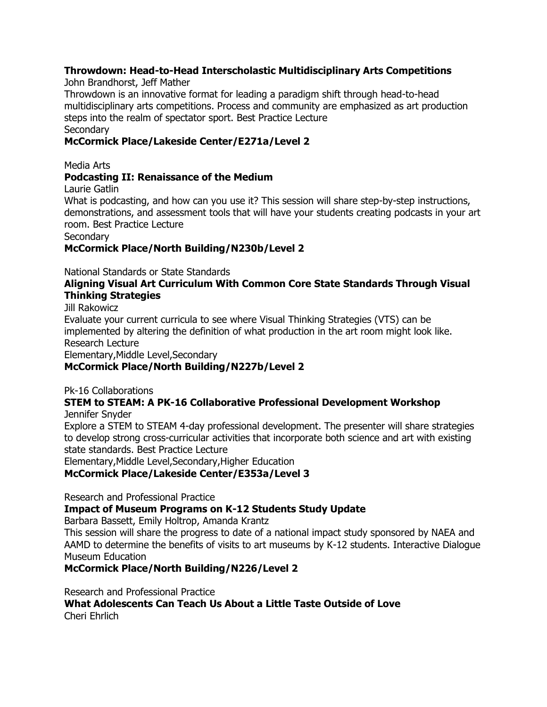### **Throwdown: Head-to-Head Interscholastic Multidisciplinary Arts Competitions**

John Brandhorst, Jeff Mather

Throwdown is an innovative format for leading a paradigm shift through head-to-head multidisciplinary arts competitions. Process and community are emphasized as art production steps into the realm of spectator sport. Best Practice Lecture **Secondary** 

### **McCormick Place/Lakeside Center/E271a/Level 2**

Media Arts

### **Podcasting II: Renaissance of the Medium**

Laurie Gatlin

What is podcasting, and how can you use it? This session will share step-by-step instructions, demonstrations, and assessment tools that will have your students creating podcasts in your art room. Best Practice Lecture

**Secondary** 

### **McCormick Place/North Building/N230b/Level 2**

National Standards or State Standards

#### **Aligning Visual Art Curriculum With Common Core State Standards Through Visual Thinking Strategies**

Jill Rakowicz

Evaluate your current curricula to see where Visual Thinking Strategies (VTS) can be implemented by altering the definition of what production in the art room might look like. Research Lecture

Elementary,Middle Level,Secondary

### **McCormick Place/North Building/N227b/Level 2**

Pk-16 Collaborations

#### **STEM to STEAM: A PK-16 Collaborative Professional Development Workshop** Jennifer Snyder

Explore a STEM to STEAM 4-day professional development. The presenter will share strategies to develop strong cross-curricular activities that incorporate both science and art with existing state standards. Best Practice Lecture

Elementary,Middle Level,Secondary,Higher Education

### **McCormick Place/Lakeside Center/E353a/Level 3**

Research and Professional Practice

**Impact of Museum Programs on K-12 Students Study Update**

Barbara Bassett, Emily Holtrop, Amanda Krantz

This session will share the progress to date of a national impact study sponsored by NAEA and AAMD to determine the benefits of visits to art museums by K-12 students. Interactive Dialogue Museum Education

**McCormick Place/North Building/N226/Level 2**

Research and Professional Practice

**What Adolescents Can Teach Us About a Little Taste Outside of Love** Cheri Ehrlich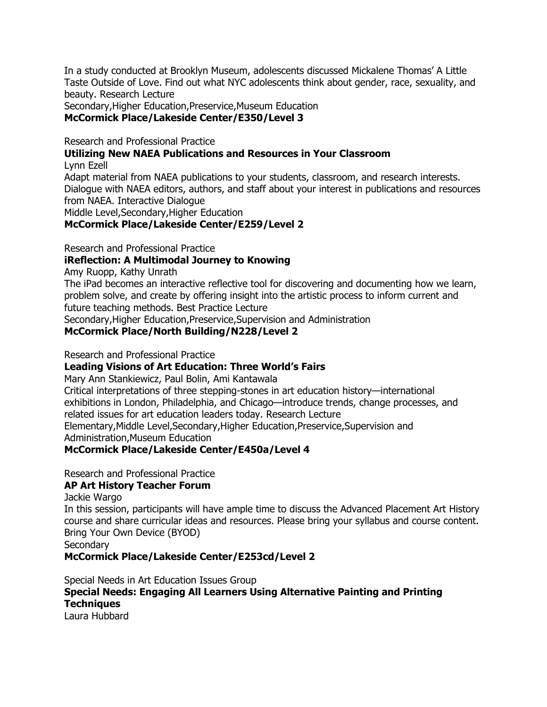In a study conducted at Brooklyn Museum, adolescents discussed Mickalene Thomas' A Little Taste Outside of Love. Find out what NYC adolescents think about gender, race, sexuality, and beauty. Research Lecture

Secondary,Higher Education,Preservice,Museum Education **McCormick Place/Lakeside Center/E350/Level 3**

Research and Professional Practice

### **Utilizing New NAEA Publications and Resources in Your Classroom**

Lynn Ezell

Adapt material from NAEA publications to your students, classroom, and research interests. Dialogue with NAEA editors, authors, and staff about your interest in publications and resources from NAEA. Interactive Dialogue

Middle Level,Secondary,Higher Education

### **McCormick Place/Lakeside Center/E259/Level 2**

Research and Professional Practice

### **iReflection: A Multimodal Journey to Knowing**

Amy Ruopp, Kathy Unrath

The iPad becomes an interactive reflective tool for discovering and documenting how we learn, problem solve, and create by offering insight into the artistic process to inform current and future teaching methods. Best Practice Lecture

Secondary,Higher Education,Preservice,Supervision and Administration

### **McCormick Place/North Building/N228/Level 2**

Research and Professional Practice

### **Leading Visions of Art Education: Three World's Fairs**

Mary Ann Stankiewicz, Paul Bolin, Ami Kantawala

Critical interpretations of three stepping-stones in art education history—international exhibitions in London, Philadelphia, and Chicago—introduce trends, change processes, and related issues for art education leaders today. Research Lecture Elementary,Middle Level,Secondary,Higher Education,Preservice,Supervision and Administration,Museum Education

### **McCormick Place/Lakeside Center/E450a/Level 4**

Research and Professional Practice

### **AP Art History Teacher Forum**

Jackie Wargo

In this session, participants will have ample time to discuss the Advanced Placement Art History course and share curricular ideas and resources. Please bring your syllabus and course content. Bring Your Own Device (BYOD)

**Secondary** 

**McCormick Place/Lakeside Center/E253cd/Level 2**

Special Needs in Art Education Issues Group

## **Special Needs: Engaging All Learners Using Alternative Painting and Printing Techniques**

Laura Hubbard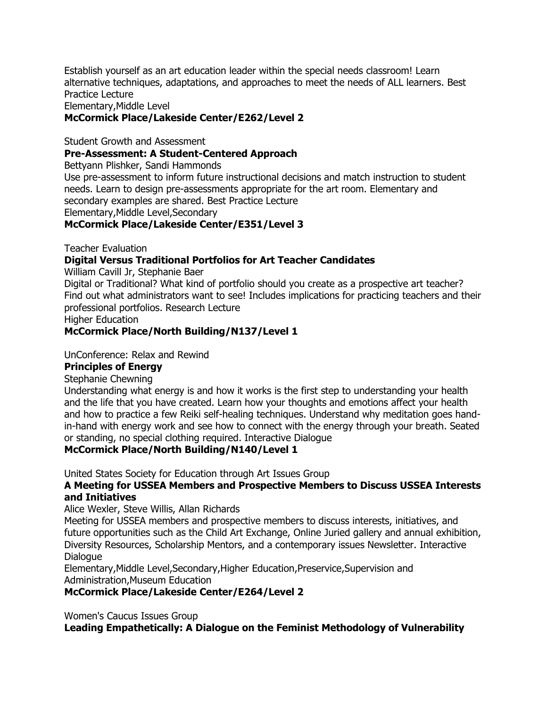Establish yourself as an art education leader within the special needs classroom! Learn alternative techniques, adaptations, and approaches to meet the needs of ALL learners. Best Practice Lecture

Elementary,Middle Level

#### **McCormick Place/Lakeside Center/E262/Level 2**

Student Growth and Assessment

### **Pre-Assessment: A Student-Centered Approach**

Bettyann Plishker, Sandi Hammonds

Use pre-assessment to inform future instructional decisions and match instruction to student needs. Learn to design pre-assessments appropriate for the art room. Elementary and secondary examples are shared. Best Practice Lecture

Elementary,Middle Level,Secondary

#### **McCormick Place/Lakeside Center/E351/Level 3**

Teacher Evaluation

#### **Digital Versus Traditional Portfolios for Art Teacher Candidates**

William Cavill Jr, Stephanie Baer

Digital or Traditional? What kind of portfolio should you create as a prospective art teacher? Find out what administrators want to see! Includes implications for practicing teachers and their professional portfolios. Research Lecture

Higher Education

#### **McCormick Place/North Building/N137/Level 1**

#### UnConference: Relax and Rewind

#### **Principles of Energy**

Stephanie Chewning

Understanding what energy is and how it works is the first step to understanding your health and the life that you have created. Learn how your thoughts and emotions affect your health and how to practice a few Reiki self-healing techniques. Understand why meditation goes handin-hand with energy work and see how to connect with the energy through your breath. Seated or standing, no special clothing required. Interactive Dialogue

#### **McCormick Place/North Building/N140/Level 1**

United States Society for Education through Art Issues Group

### **A Meeting for USSEA Members and Prospective Members to Discuss USSEA Interests and Initiatives**

Alice Wexler, Steve Willis, Allan Richards

Meeting for USSEA members and prospective members to discuss interests, initiatives, and future opportunities such as the Child Art Exchange, Online Juried gallery and annual exhibition, Diversity Resources, Scholarship Mentors, and a contemporary issues Newsletter. Interactive **Dialogue** 

Elementary,Middle Level,Secondary,Higher Education,Preservice,Supervision and Administration,Museum Education

#### **McCormick Place/Lakeside Center/E264/Level 2**

Women's Caucus Issues Group

**Leading Empathetically: A Dialogue on the Feminist Methodology of Vulnerability**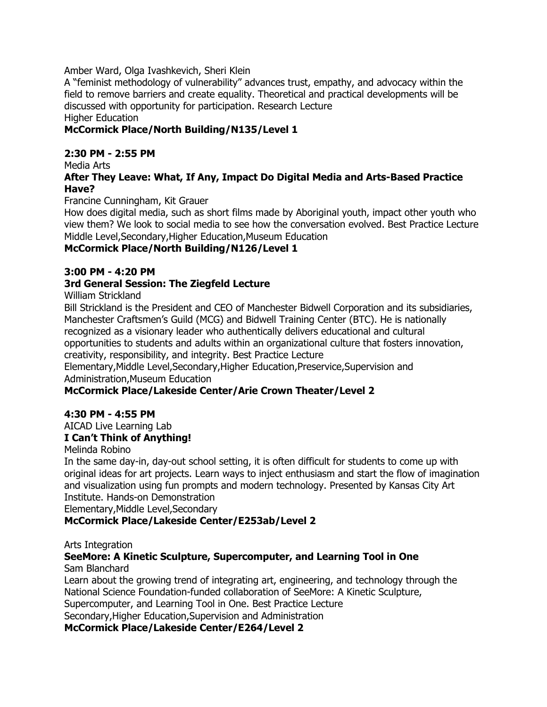Amber Ward, Olga Ivashkevich, Sheri Klein

A "feminist methodology of vulnerability" advances trust, empathy, and advocacy within the field to remove barriers and create equality. Theoretical and practical developments will be discussed with opportunity for participation. Research Lecture Higher Education

### **McCormick Place/North Building/N135/Level 1**

### **2:30 PM - 2:55 PM**

Media Arts

#### **After They Leave: What, If Any, Impact Do Digital Media and Arts-Based Practice Have?**

Francine Cunningham, Kit Grauer

How does digital media, such as short films made by Aboriginal youth, impact other youth who view them? We look to social media to see how the conversation evolved. Best Practice Lecture Middle Level,Secondary,Higher Education,Museum Education

### **McCormick Place/North Building/N126/Level 1**

#### **3:00 PM - 4:20 PM**

### **3rd General Session: The Ziegfeld Lecture**

William Strickland

Bill Strickland is the President and CEO of Manchester Bidwell Corporation and its subsidiaries, Manchester Craftsmen's Guild (MCG) and Bidwell Training Center (BTC). He is nationally recognized as a visionary leader who authentically delivers educational and cultural opportunities to students and adults within an organizational culture that fosters innovation, creativity, responsibility, and integrity. Best Practice Lecture

Elementary,Middle Level,Secondary,Higher Education,Preservice,Supervision and Administration,Museum Education

### **McCormick Place/Lakeside Center/Arie Crown Theater/Level 2**

### **4:30 PM - 4:55 PM**

## AICAD Live Learning Lab

## **I Can't Think of Anything!**

Melinda Robino

In the same day-in, day-out school setting, it is often difficult for students to come up with original ideas for art projects. Learn ways to inject enthusiasm and start the flow of imagination and visualization using fun prompts and modern technology. Presented by Kansas City Art Institute. Hands-on Demonstration

Elementary,Middle Level,Secondary

### **McCormick Place/Lakeside Center/E253ab/Level 2**

Arts Integration

#### **SeeMore: A Kinetic Sculpture, Supercomputer, and Learning Tool in One** Sam Blanchard

Learn about the growing trend of integrating art, engineering, and technology through the National Science Foundation-funded collaboration of SeeMore: A Kinetic Sculpture, Supercomputer, and Learning Tool in One. Best Practice Lecture Secondary,Higher Education,Supervision and Administration

**McCormick Place/Lakeside Center/E264/Level 2**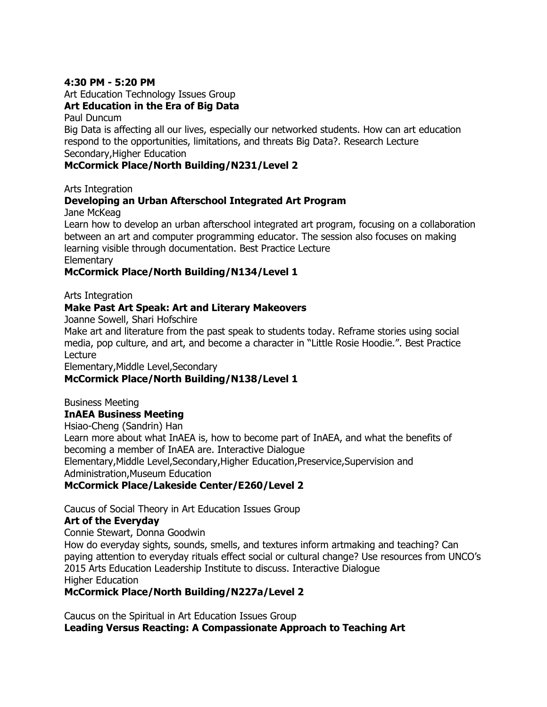#### **4:30 PM - 5:20 PM**

Art Education Technology Issues Group

#### **Art Education in the Era of Big Data**

Paul Duncum

Big Data is affecting all our lives, especially our networked students. How can art education respond to the opportunities, limitations, and threats Big Data?. Research Lecture Secondary,Higher Education

#### **McCormick Place/North Building/N231/Level 2**

Arts Integration

### **Developing an Urban Afterschool Integrated Art Program**

Jane McKeag

Learn how to develop an urban afterschool integrated art program, focusing on a collaboration between an art and computer programming educator. The session also focuses on making learning visible through documentation. Best Practice Lecture **Elementary** 

## **McCormick Place/North Building/N134/Level 1**

Arts Integration

#### **Make Past Art Speak: Art and Literary Makeovers**

Joanne Sowell, Shari Hofschire

Make art and literature from the past speak to students today. Reframe stories using social media, pop culture, and art, and become a character in "Little Rosie Hoodie.". Best Practice Lecture

Elementary,Middle Level,Secondary

### **McCormick Place/North Building/N138/Level 1**

Business Meeting

#### **InAEA Business Meeting**

Hsiao-Cheng (Sandrin) Han Learn more about what InAEA is, how to become part of InAEA, and what the benefits of becoming a member of InAEA are. Interactive Dialogue Elementary,Middle Level,Secondary,Higher Education,Preservice,Supervision and Administration,Museum Education **McCormick Place/Lakeside Center/E260/Level 2**

Caucus of Social Theory in Art Education Issues Group

### **Art of the Everyday**

Connie Stewart, Donna Goodwin

How do everyday sights, sounds, smells, and textures inform artmaking and teaching? Can paying attention to everyday rituals effect social or cultural change? Use resources from UNCO's 2015 Arts Education Leadership Institute to discuss. Interactive Dialogue Higher Education

### **McCormick Place/North Building/N227a/Level 2**

Caucus on the Spiritual in Art Education Issues Group **Leading Versus Reacting: A Compassionate Approach to Teaching Art**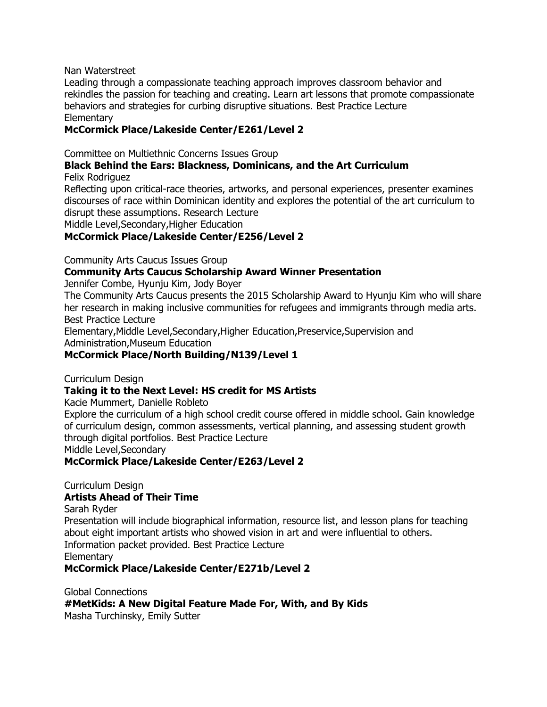#### Nan Waterstreet

Leading through a compassionate teaching approach improves classroom behavior and rekindles the passion for teaching and creating. Learn art lessons that promote compassionate behaviors and strategies for curbing disruptive situations. Best Practice Lecture **Elementary** 

#### **McCormick Place/Lakeside Center/E261/Level 2**

Committee on Multiethnic Concerns Issues Group

#### **Black Behind the Ears: Blackness, Dominicans, and the Art Curriculum** Felix Rodriguez

Reflecting upon critical-race theories, artworks, and personal experiences, presenter examines discourses of race within Dominican identity and explores the potential of the art curriculum to disrupt these assumptions. Research Lecture

Middle Level,Secondary,Higher Education

#### **McCormick Place/Lakeside Center/E256/Level 2**

Community Arts Caucus Issues Group

#### **Community Arts Caucus Scholarship Award Winner Presentation**

Jennifer Combe, Hyunju Kim, Jody Boyer

The Community Arts Caucus presents the 2015 Scholarship Award to Hyunju Kim who will share her research in making inclusive communities for refugees and immigrants through media arts. Best Practice Lecture

Elementary,Middle Level,Secondary,Higher Education,Preservice,Supervision and Administration,Museum Education

#### **McCormick Place/North Building/N139/Level 1**

Curriculum Design

#### **Taking it to the Next Level: HS credit for MS Artists**

Kacie Mummert, Danielle Robleto

Explore the curriculum of a high school credit course offered in middle school. Gain knowledge of curriculum design, common assessments, vertical planning, and assessing student growth through digital portfolios. Best Practice Lecture

Middle Level,Secondary

#### **McCormick Place/Lakeside Center/E263/Level 2**

Curriculum Design

#### **Artists Ahead of Their Time**

Sarah Ryder

Presentation will include biographical information, resource list, and lesson plans for teaching about eight important artists who showed vision in art and were influential to others. Information packet provided. Best Practice Lecture **Elementary** 

#### **McCormick Place/Lakeside Center/E271b/Level 2**

Global Connections **#MetKids: A New Digital Feature Made For, With, and By Kids** Masha Turchinsky, Emily Sutter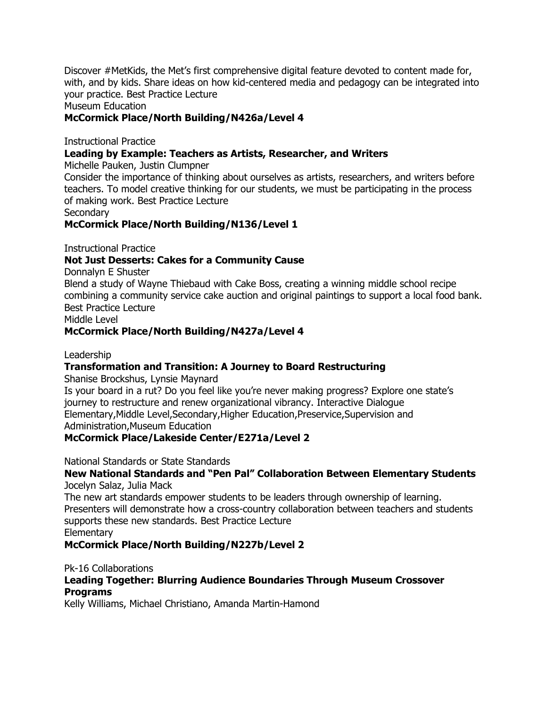Discover #MetKids, the Met's first comprehensive digital feature devoted to content made for, with, and by kids. Share ideas on how kid-centered media and pedagogy can be integrated into your practice. Best Practice Lecture

#### Museum Education

#### **McCormick Place/North Building/N426a/Level 4**

Instructional Practice

#### **Leading by Example: Teachers as Artists, Researcher, and Writers**

Michelle Pauken, Justin Clumpner

Consider the importance of thinking about ourselves as artists, researchers, and writers before teachers. To model creative thinking for our students, we must be participating in the process of making work. Best Practice Lecture

**Secondary** 

**McCormick Place/North Building/N136/Level 1**

Instructional Practice

#### **Not Just Desserts: Cakes for a Community Cause**

Donnalyn E Shuster

Blend a study of Wayne Thiebaud with Cake Boss, creating a winning middle school recipe combining a community service cake auction and original paintings to support a local food bank. Best Practice Lecture

Middle Level

#### **McCormick Place/North Building/N427a/Level 4**

#### Leadership

#### **Transformation and Transition: A Journey to Board Restructuring**

Shanise Brockshus, Lynsie Maynard

Is your board in a rut? Do you feel like you're never making progress? Explore one state's journey to restructure and renew organizational vibrancy. Interactive Dialogue Elementary,Middle Level,Secondary,Higher Education,Preservice,Supervision and Administration,Museum Education

#### **McCormick Place/Lakeside Center/E271a/Level 2**

National Standards or State Standards

#### **New National Standards and "Pen Pal" Collaboration Between Elementary Students** Jocelyn Salaz, Julia Mack

The new art standards empower students to be leaders through ownership of learning. Presenters will demonstrate how a cross-country collaboration between teachers and students supports these new standards. Best Practice Lecture **Elementary** 

**McCormick Place/North Building/N227b/Level 2**

Pk-16 Collaborations

### **Leading Together: Blurring Audience Boundaries Through Museum Crossover Programs**

Kelly Williams, Michael Christiano, Amanda Martin-Hamond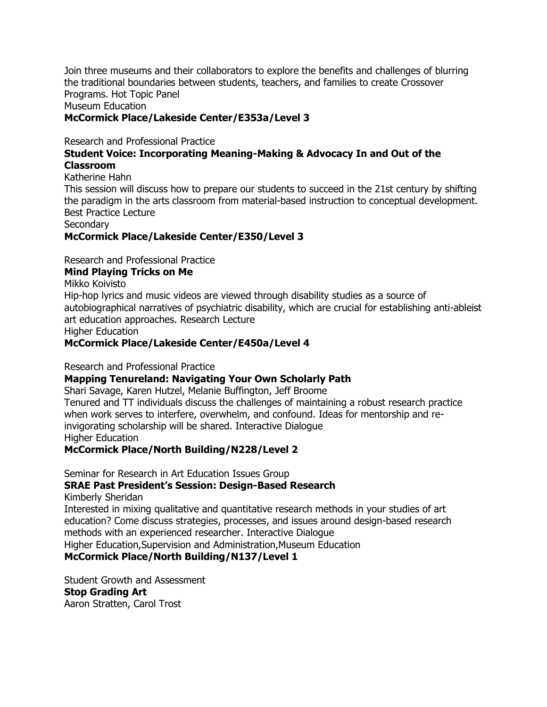Join three museums and their collaborators to explore the benefits and challenges of blurring the traditional boundaries between students, teachers, and families to create Crossover Programs. Hot Topic Panel Museum Education

### **McCormick Place/Lakeside Center/E353a/Level 3**

Research and Professional Practice

#### **Student Voice: Incorporating Meaning-Making & Advocacy In and Out of the Classroom**

Katherine Hahn

This session will discuss how to prepare our students to succeed in the 21st century by shifting the paradigm in the arts classroom from material-based instruction to conceptual development. Best Practice Lecture

Secondary

#### **McCormick Place/Lakeside Center/E350/Level 3**

Research and Professional Practice

#### **Mind Playing Tricks on Me**

Mikko Koivisto

Hip-hop lyrics and music videos are viewed through disability studies as a source of autobiographical narratives of psychiatric disability, which are crucial for establishing anti-ableist art education approaches. Research Lecture

Higher Education

#### **McCormick Place/Lakeside Center/E450a/Level 4**

Research and Professional Practice

#### **Mapping Tenureland: Navigating Your Own Scholarly Path**

Shari Savage, Karen Hutzel, Melanie Buffington, Jeff Broome Tenured and TT individuals discuss the challenges of maintaining a robust research practice when work serves to interfere, overwhelm, and confound. Ideas for mentorship and reinvigorating scholarship will be shared. Interactive Dialogue Higher Education

#### **McCormick Place/North Building/N228/Level 2**

Seminar for Research in Art Education Issues Group

## **SRAE Past President's Session: Design-Based Research**

Kimberly Sheridan

Interested in mixing qualitative and quantitative research methods in your studies of art education? Come discuss strategies, processes, and issues around design-based research methods with an experienced researcher. Interactive Dialogue

Higher Education,Supervision and Administration,Museum Education

### **McCormick Place/North Building/N137/Level 1**

Student Growth and Assessment **Stop Grading Art** Aaron Stratten, Carol Trost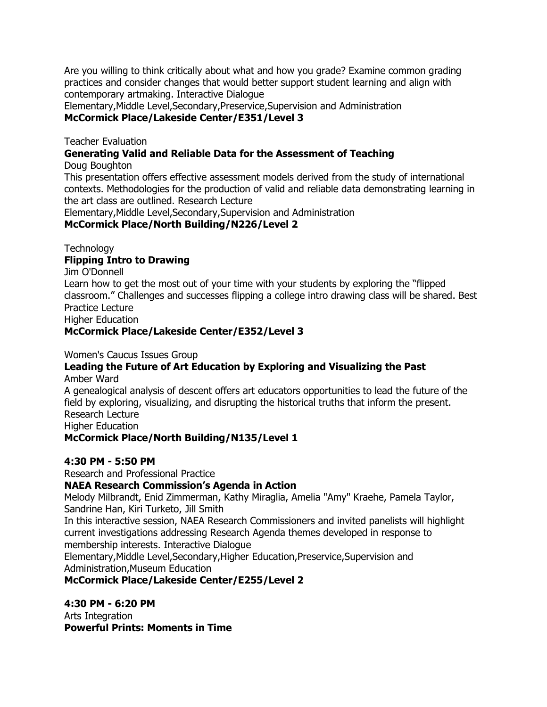Are you willing to think critically about what and how you grade? Examine common grading practices and consider changes that would better support student learning and align with contemporary artmaking. Interactive Dialogue

Elementary,Middle Level,Secondary,Preservice,Supervision and Administration **McCormick Place/Lakeside Center/E351/Level 3**

Teacher Evaluation

**Generating Valid and Reliable Data for the Assessment of Teaching**

Doug Boughton

This presentation offers effective assessment models derived from the study of international contexts. Methodologies for the production of valid and reliable data demonstrating learning in the art class are outlined. Research Lecture

Elementary,Middle Level,Secondary,Supervision and Administration

### **McCormick Place/North Building/N226/Level 2**

**Technology** 

### **Flipping Intro to Drawing**

Jim O'Donnell

Learn how to get the most out of your time with your students by exploring the "flipped classroom." Challenges and successes flipping a college intro drawing class will be shared. Best Practice Lecture

Higher Education

### **McCormick Place/Lakeside Center/E352/Level 3**

Women's Caucus Issues Group

#### **Leading the Future of Art Education by Exploring and Visualizing the Past** Amber Ward

A genealogical analysis of descent offers art educators opportunities to lead the future of the field by exploring, visualizing, and disrupting the historical truths that inform the present. Research Lecture Higher Education

### **McCormick Place/North Building/N135/Level 1**

### **4:30 PM - 5:50 PM**

Research and Professional Practice

### **NAEA Research Commission's Agenda in Action**

Melody Milbrandt, Enid Zimmerman, Kathy Miraglia, Amelia "Amy" Kraehe, Pamela Taylor, Sandrine Han, Kiri Turketo, Jill Smith

In this interactive session, NAEA Research Commissioners and invited panelists will highlight current investigations addressing Research Agenda themes developed in response to membership interests. Interactive Dialogue

Elementary,Middle Level,Secondary,Higher Education,Preservice,Supervision and Administration,Museum Education

**McCormick Place/Lakeside Center/E255/Level 2**

**4:30 PM - 6:20 PM**

Arts Integration **Powerful Prints: Moments in Time**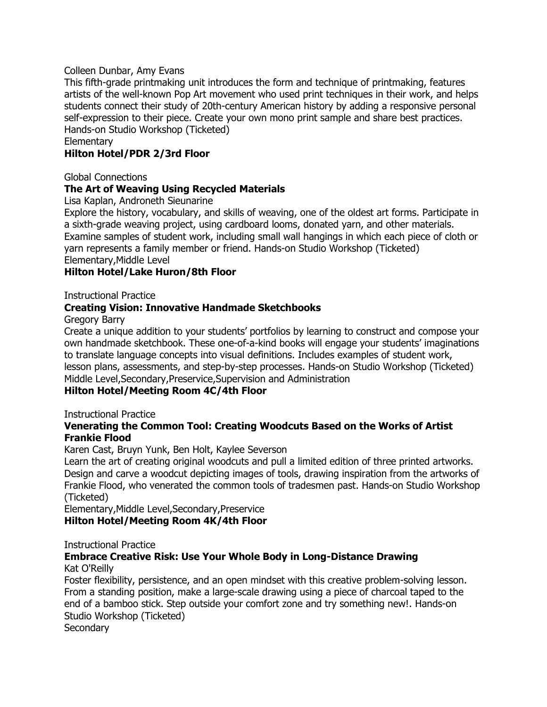#### Colleen Dunbar, Amy Evans

This fifth-grade printmaking unit introduces the form and technique of printmaking, features artists of the well-known Pop Art movement who used print techniques in their work, and helps students connect their study of 20th-century American history by adding a responsive personal self-expression to their piece. Create your own mono print sample and share best practices. Hands-on Studio Workshop (Ticketed)

**Elementary** 

#### **Hilton Hotel/PDR 2/3rd Floor**

Global Connections

#### **The Art of Weaving Using Recycled Materials**

Lisa Kaplan, Androneth Sieunarine

Explore the history, vocabulary, and skills of weaving, one of the oldest art forms. Participate in a sixth-grade weaving project, using cardboard looms, donated yarn, and other materials. Examine samples of student work, including small wall hangings in which each piece of cloth or yarn represents a family member or friend. Hands-on Studio Workshop (Ticketed) Elementary,Middle Level

#### **Hilton Hotel/Lake Huron/8th Floor**

Instructional Practice

#### **Creating Vision: Innovative Handmade Sketchbooks**

Gregory Barry

Create a unique addition to your students' portfolios by learning to construct and compose your own handmade sketchbook. These one-of-a-kind books will engage your students' imaginations to translate language concepts into visual definitions. Includes examples of student work, lesson plans, assessments, and step-by-step processes. Hands-on Studio Workshop (Ticketed) Middle Level,Secondary,Preservice,Supervision and Administration

#### **Hilton Hotel/Meeting Room 4C/4th Floor**

Instructional Practice

#### **Venerating the Common Tool: Creating Woodcuts Based on the Works of Artist Frankie Flood**

Karen Cast, Bruyn Yunk, Ben Holt, Kaylee Severson

Learn the art of creating original woodcuts and pull a limited edition of three printed artworks. Design and carve a woodcut depicting images of tools, drawing inspiration from the artworks of Frankie Flood, who venerated the common tools of tradesmen past. Hands-on Studio Workshop (Ticketed)

Elementary,Middle Level,Secondary,Preservice **Hilton Hotel/Meeting Room 4K/4th Floor**

#### Instructional Practice

#### **Embrace Creative Risk: Use Your Whole Body in Long-Distance Drawing** Kat O'Reilly

Foster flexibility, persistence, and an open mindset with this creative problem-solving lesson. From a standing position, make a large-scale drawing using a piece of charcoal taped to the end of a bamboo stick. Step outside your comfort zone and try something new!. Hands-on Studio Workshop (Ticketed)

**Secondary**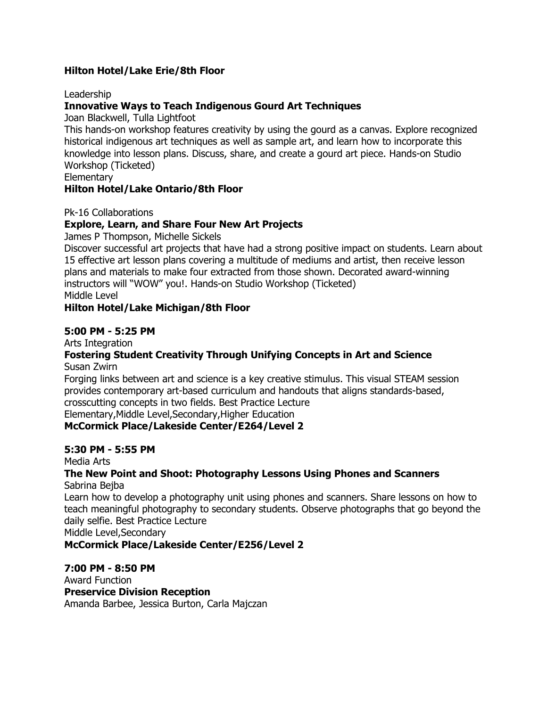### **Hilton Hotel/Lake Erie/8th Floor**

#### Leadership

#### **Innovative Ways to Teach Indigenous Gourd Art Techniques**

Joan Blackwell, Tulla Lightfoot

This hands-on workshop features creativity by using the gourd as a canvas. Explore recognized historical indigenous art techniques as well as sample art, and learn how to incorporate this knowledge into lesson plans. Discuss, share, and create a gourd art piece. Hands-on Studio Workshop (Ticketed)

**Elementary** 

#### **Hilton Hotel/Lake Ontario/8th Floor**

Pk-16 Collaborations

#### **Explore, Learn, and Share Four New Art Projects**

James P Thompson, Michelle Sickels

Discover successful art projects that have had a strong positive impact on students. Learn about 15 effective art lesson plans covering a multitude of mediums and artist, then receive lesson plans and materials to make four extracted from those shown. Decorated award-winning instructors will "WOW" you!. Hands-on Studio Workshop (Ticketed) Middle Level

#### **Hilton Hotel/Lake Michigan/8th Floor**

#### **5:00 PM - 5:25 PM**

Arts Integration

# **Fostering Student Creativity Through Unifying Concepts in Art and Science**

Susan Zwirn

Forging links between art and science is a key creative stimulus. This visual STEAM session provides contemporary art-based curriculum and handouts that aligns standards-based, crosscutting concepts in two fields. Best Practice Lecture

Elementary,Middle Level,Secondary,Higher Education

#### **McCormick Place/Lakeside Center/E264/Level 2**

#### **5:30 PM - 5:55 PM**

Media Arts

#### **The New Point and Shoot: Photography Lessons Using Phones and Scanners** Sabrina Bejba

Learn how to develop a photography unit using phones and scanners. Share lessons on how to teach meaningful photography to secondary students. Observe photographs that go beyond the daily selfie. Best Practice Lecture

Middle Level,Secondary

#### **McCormick Place/Lakeside Center/E256/Level 2**

#### **7:00 PM - 8:50 PM**

Award Function **Preservice Division Reception** Amanda Barbee, Jessica Burton, Carla Majczan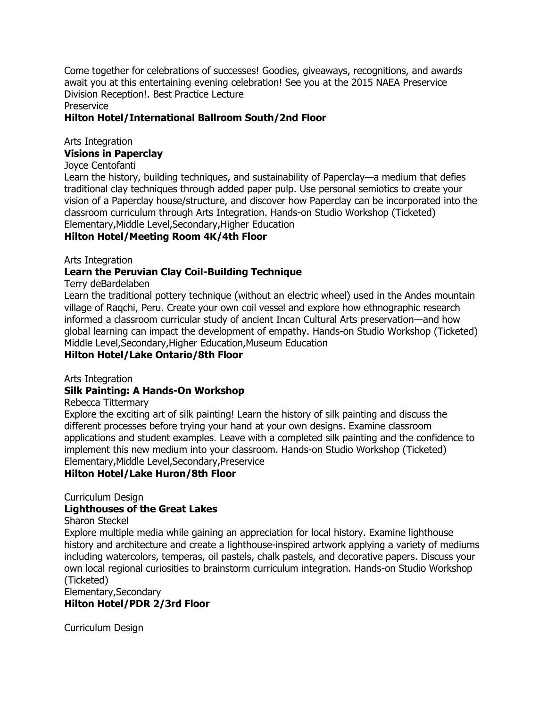Come together for celebrations of successes! Goodies, giveaways, recognitions, and awards await you at this entertaining evening celebration! See you at the 2015 NAEA Preservice Division Reception!. Best Practice Lecture

Preservice

### **Hilton Hotel/International Ballroom South/2nd Floor**

## Arts Integration

#### **Visions in Paperclay**

#### Joyce Centofanti

Learn the history, building techniques, and sustainability of Paperclay—a medium that defies traditional clay techniques through added paper pulp. Use personal semiotics to create your vision of a Paperclay house/structure, and discover how Paperclay can be incorporated into the classroom curriculum through Arts Integration. Hands-on Studio Workshop (Ticketed) Elementary,Middle Level,Secondary,Higher Education

### **Hilton Hotel/Meeting Room 4K/4th Floor**

#### Arts Integration

### **Learn the Peruvian Clay Coil-Building Technique**

#### Terry deBardelaben

Learn the traditional pottery technique (without an electric wheel) used in the Andes mountain village of Raqchi, Peru. Create your own coil vessel and explore how ethnographic research informed a classroom curricular study of ancient Incan Cultural Arts preservation—and how global learning can impact the development of empathy. Hands-on Studio Workshop (Ticketed) Middle Level,Secondary,Higher Education,Museum Education **Hilton Hotel/Lake Ontario/8th Floor**

#### Arts Integration

### **Silk Painting: A Hands-On Workshop**

#### Rebecca Tittermary

Explore the exciting art of silk painting! Learn the history of silk painting and discuss the different processes before trying your hand at your own designs. Examine classroom applications and student examples. Leave with a completed silk painting and the confidence to implement this new medium into your classroom. Hands-on Studio Workshop (Ticketed) Elementary,Middle Level,Secondary,Preservice

### **Hilton Hotel/Lake Huron/8th Floor**

### Curriculum Design

### **Lighthouses of the Great Lakes**

Sharon Steckel

Explore multiple media while gaining an appreciation for local history. Examine lighthouse history and architecture and create a lighthouse-inspired artwork applying a variety of mediums including watercolors, temperas, oil pastels, chalk pastels, and decorative papers. Discuss your own local regional curiosities to brainstorm curriculum integration. Hands-on Studio Workshop (Ticketed)

#### Elementary,Secondary **Hilton Hotel/PDR 2/3rd Floor**

Curriculum Design